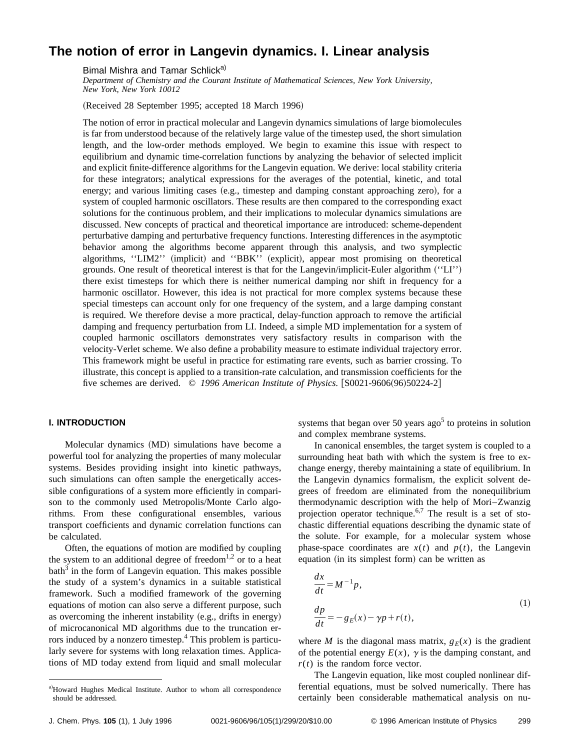# **The notion of error in Langevin dynamics. I. Linear analysis**

Bimal Mishra and Tamar Schlick<sup>a)</sup>

*Department of Chemistry and the Courant Institute of Mathematical Sciences, New York University, New York, New York 10012*

(Received 28 September 1995; accepted 18 March 1996)

The notion of error in practical molecular and Langevin dynamics simulations of large biomolecules is far from understood because of the relatively large value of the timestep used, the short simulation length, and the low-order methods employed. We begin to examine this issue with respect to equilibrium and dynamic time-correlation functions by analyzing the behavior of selected implicit and explicit finite-difference algorithms for the Langevin equation. We derive: local stability criteria for these integrators; analytical expressions for the averages of the potential, kinetic, and total energy; and various limiting cases  $(e.g.,$  timestep and damping constant approaching zero), for a system of coupled harmonic oscillators. These results are then compared to the corresponding exact solutions for the continuous problem, and their implications to molecular dynamics simulations are discussed. New concepts of practical and theoretical importance are introduced: scheme-dependent perturbative damping and perturbative frequency functions. Interesting differences in the asymptotic behavior among the algorithms become apparent through this analysis, and two symplectic algorithms, "LIM2" (implicit) and "BBK" (explicit), appear most promising on theoretical grounds. One result of theoretical interest is that for the Langevin/implicit-Euler algorithm ("LI") there exist timesteps for which there is neither numerical damping nor shift in frequency for a harmonic oscillator. However, this idea is not practical for more complex systems because these special timesteps can account only for one frequency of the system, and a large damping constant is required. We therefore devise a more practical, delay-function approach to remove the artificial damping and frequency perturbation from LI. Indeed, a simple MD implementation for a system of coupled harmonic oscillators demonstrates very satisfactory results in comparison with the velocity-Verlet scheme. We also define a probability measure to estimate individual trajectory error. This framework might be useful in practice for estimating rare events, such as barrier crossing. To illustrate, this concept is applied to a transition-rate calculation, and transmission coefficients for the five schemes are derived. © 1996 American Institute of Physics. [S0021-9606(96)50224-2]

# **I. INTRODUCTION**

Molecular dynamics (MD) simulations have become a powerful tool for analyzing the properties of many molecular systems. Besides providing insight into kinetic pathways, such simulations can often sample the energetically accessible configurations of a system more efficiently in comparison to the commonly used Metropolis/Monte Carlo algorithms. From these configurational ensembles, various transport coefficients and dynamic correlation functions can be calculated.

Often, the equations of motion are modified by coupling the system to an additional degree of freedom<sup>1,2</sup> or to a heat  $b$ ath<sup>3</sup> in the form of Langevin equation. This makes possible the study of a system's dynamics in a suitable statistical framework. Such a modified framework of the governing equations of motion can also serve a different purpose, such as overcoming the inherent instability  $(e.g., drifts in energy)$ of microcanonical MD algorithms due to the truncation errors induced by a nonzero timestep.<sup>4</sup> This problem is particularly severe for systems with long relaxation times. Applications of MD today extend from liquid and small molecular

systems that began over 50 years ago<sup>5</sup> to proteins in solution and complex membrane systems.

In canonical ensembles, the target system is coupled to a surrounding heat bath with which the system is free to exchange energy, thereby maintaining a state of equilibrium. In the Langevin dynamics formalism, the explicit solvent degrees of freedom are eliminated from the nonequilibrium thermodynamic description with the help of Mori–Zwanzig projection operator technique.<sup>6,7</sup> The result is a set of stochastic differential equations describing the dynamic state of the solute. For example, for a molecular system whose phase-space coordinates are  $x(t)$  and  $p(t)$ , the Langevin equation (in its simplest form) can be written as

$$
\frac{dx}{dt} = M^{-1}p,
$$
  
\n
$$
\frac{dp}{dt} = -g_E(x) - \gamma p + r(t),
$$
\n(1)

where *M* is the diagonal mass matrix,  $g_F(x)$  is the gradient of the potential energy  $E(x)$ ,  $\gamma$  is the damping constant, and *r*(*t*) is the random force vector.

The Langevin equation, like most coupled nonlinear differential equations, must be solved numerically. There has certainly been considerable mathematical analysis on nu-

a)Howard Hughes Medical Institute. Author to whom all correspondence should be addressed.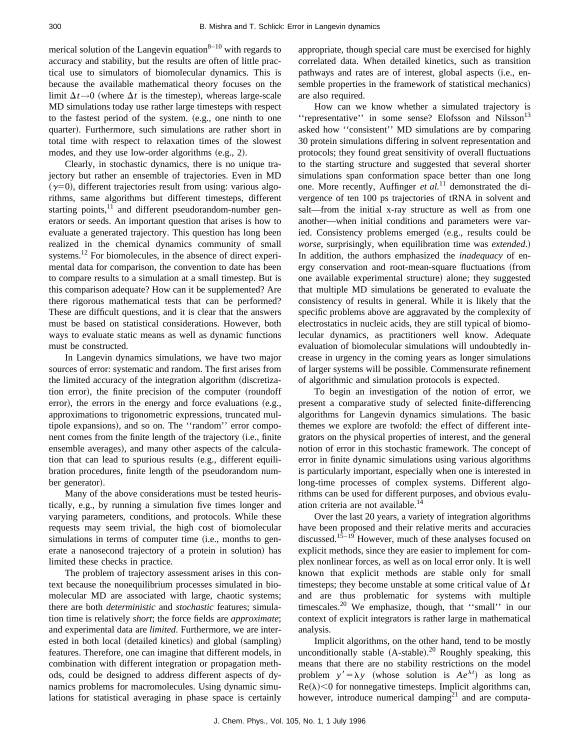merical solution of the Langevin equation<sup>8–10</sup> with regards to accuracy and stability, but the results are often of little practical use to simulators of biomolecular dynamics. This is because the available mathematical theory focuses on the limit  $\Delta t \rightarrow 0$  (where  $\Delta t$  is the timestep), whereas large-scale MD simulations today use rather large timesteps with respect to the fastest period of the system. (e.g., one ninth to one quarter). Furthermore, such simulations are rather short in total time with respect to relaxation times of the slowest modes, and they use low-order algorithms  $(e.g., 2)$ .

Clearly, in stochastic dynamics, there is no unique trajectory but rather an ensemble of trajectories. Even in MD  $(\gamma=0)$ , different trajectories result from using: various algorithms, same algorithms but different timesteps, different starting points,<sup>11</sup> and different pseudorandom-number generators or seeds. An important question that arises is how to evaluate a generated trajectory. This question has long been realized in the chemical dynamics community of small systems.<sup>12</sup> For biomolecules, in the absence of direct experimental data for comparison, the convention to date has been to compare results to a simulation at a small timestep. But is this comparison adequate? How can it be supplemented? Are there rigorous mathematical tests that can be performed? These are difficult questions, and it is clear that the answers must be based on statistical considerations. However, both ways to evaluate static means as well as dynamic functions must be constructed.

In Langevin dynamics simulations, we have two major sources of error: systematic and random. The first arises from the limited accuracy of the integration algorithm (discretization error), the finite precision of the computer (roundoff error), the errors in the energy and force evaluations  $(e.g.,)$ approximations to trigonometric expressions, truncated multipole expansions), and so on. The "random" error component comes from the finite length of the trajectory (i.e., finite ensemble averages), and many other aspects of the calculation that can lead to spurious results (e.g., different equilibration procedures, finite length of the pseudorandom number generator).

Many of the above considerations must be tested heuristically, e.g., by running a simulation five times longer and varying parameters, conditions, and protocols. While these requests may seem trivial, the high cost of biomolecular simulations in terms of computer time (i.e., months to generate a nanosecond trajectory of a protein in solution) has limited these checks in practice.

The problem of trajectory assessment arises in this context because the nonequilibrium processes simulated in biomolecular MD are associated with large, chaotic systems; there are both *deterministic* and *stochastic* features; simulation time is relatively *short*; the force fields are *approximate*; and experimental data are *limited*. Furthermore, we are interested in both local (detailed kinetics) and global (sampling) features. Therefore, one can imagine that different models, in combination with different integration or propagation methods, could be designed to address different aspects of dynamics problems for macromolecules. Using dynamic simulations for statistical averaging in phase space is certainly appropriate, though special care must be exercised for highly correlated data. When detailed kinetics, such as transition pathways and rates are of interest, global aspects (i.e., ensemble properties in the framework of statistical mechanics) are also required.

How can we know whether a simulated trajectory is "representative" in some sense? Elofsson and Nilsson<sup>13</sup> asked how ''consistent'' MD simulations are by comparing 30 protein simulations differing in solvent representation and protocols; they found great sensitivity of overall fluctuations to the starting structure and suggested that several shorter simulations span conformation space better than one long one. More recently, Auffinger *et al.*<sup>11</sup> demonstrated the divergence of ten 100 ps trajectories of tRNA in solvent and salt—from the initial x-ray structure as well as from one another—when initial conditions and parameters were varied. Consistency problems emerged (e.g., results could be *worse*, surprisingly, when equilibration time was *extended*.) In addition, the authors emphasized the *inadequacy* of energy conservation and root-mean-square fluctuations (from one available experimental structure) alone; they suggested that multiple MD simulations be generated to evaluate the consistency of results in general. While it is likely that the specific problems above are aggravated by the complexity of electrostatics in nucleic acids, they are still typical of biomolecular dynamics, as practitioners well know. Adequate evaluation of biomolecular simulations will undoubtedly increase in urgency in the coming years as longer simulations of larger systems will be possible. Commensurate refinement of algorithmic and simulation protocols is expected.

To begin an investigation of the notion of error, we present a comparative study of selected finite-differencing algorithms for Langevin dynamics simulations. The basic themes we explore are twofold: the effect of different integrators on the physical properties of interest, and the general notion of error in this stochastic framework. The concept of error in finite dynamic simulations using various algorithms is particularly important, especially when one is interested in long-time processes of complex systems. Different algorithms can be used for different purposes, and obvious evaluation criteria are not available.<sup>14</sup>

Over the last 20 years, a variety of integration algorithms have been proposed and their relative merits and accuracies discussed.15–19 However, much of these analyses focused on explicit methods, since they are easier to implement for complex nonlinear forces, as well as on local error only. It is well known that explicit methods are stable only for small timesteps; they become unstable at some critical value of  $\Delta t$ and are thus problematic for systems with multiple timescales.<sup>20</sup> We emphasize, though, that "small" in our context of explicit integrators is rather large in mathematical analysis.

Implicit algorithms, on the other hand, tend to be mostly unconditionally stable  $(A$ -stable).<sup>20</sup> Roughly speaking, this means that there are no stability restrictions on the model problem  $y' = \lambda y$  (whose solution is  $Ae^{\lambda t}$ ) as long as  $Re(\lambda)$  < 0 for nonnegative timesteps. Implicit algorithms can, however, introduce numerical damping<sup>21</sup> and are computa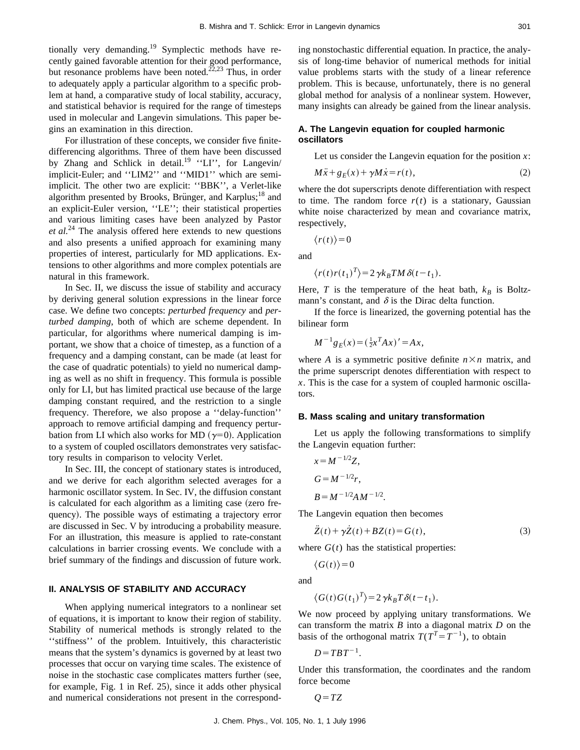tionally very demanding.<sup>19</sup> Symplectic methods have recently gained favorable attention for their good performance, but resonance problems have been noted.<sup> $\tilde{22,23}$ </sup> Thus, in order to adequately apply a particular algorithm to a specific problem at hand, a comparative study of local stability, accuracy, and statistical behavior is required for the range of timesteps used in molecular and Langevin simulations. This paper begins an examination in this direction.

For illustration of these concepts, we consider five finitedifferencing algorithms. Three of them have been discussed by Zhang and Schlick in detail.<sup>19</sup> "LI", for Langevin/ implicit-Euler; and ''LIM2'' and ''MID1'' which are semiimplicit. The other two are explicit: ''BBK'', a Verlet-like algorithm presented by Brooks, Brünger, and Karplus;<sup>18</sup> and an explicit-Euler version, ''LE''; their statistical properties and various limiting cases have been analyzed by Pastor *et al.*<sup>24</sup> The analysis offered here extends to new questions and also presents a unified approach for examining many properties of interest, particularly for MD applications. Extensions to other algorithms and more complex potentials are natural in this framework.

In Sec. II, we discuss the issue of stability and accuracy by deriving general solution expressions in the linear force case. We define two concepts: *perturbed frequency* and *perturbed damping*, both of which are scheme dependent. In particular, for algorithms where numerical damping is important, we show that a choice of timestep, as a function of a frequency and a damping constant, can be made (at least for the case of quadratic potentials) to yield no numerical damping as well as no shift in frequency. This formula is possible only for LI, but has limited practical use because of the large damping constant required, and the restriction to a single frequency. Therefore, we also propose a ''delay-function'' approach to remove artificial damping and frequency perturbation from LI which also works for MD  $(\gamma=0)$ . Application to a system of coupled oscillators demonstrates very satisfactory results in comparison to velocity Verlet.

In Sec. III, the concept of stationary states is introduced, and we derive for each algorithm selected averages for a harmonic oscillator system. In Sec. IV, the diffusion constant is calculated for each algorithm as a limiting case (zero frequency). The possible ways of estimating a trajectory error are discussed in Sec. V by introducing a probability measure. For an illustration, this measure is applied to rate-constant calculations in barrier crossing events. We conclude with a brief summary of the findings and discussion of future work.

#### **II. ANALYSIS OF STABILITY AND ACCURACY**

When applying numerical integrators to a nonlinear set of equations, it is important to know their region of stability. Stability of numerical methods is strongly related to the ''stiffness'' of the problem. Intuitively, this characteristic means that the system's dynamics is governed by at least two processes that occur on varying time scales. The existence of noise in the stochastic case complicates matters further (see, for example, Fig. 1 in Ref.  $25$ ), since it adds other physical and numerical considerations not present in the corresponding nonstochastic differential equation. In practice, the analysis of long-time behavior of numerical methods for initial value problems starts with the study of a linear reference problem. This is because, unfortunately, there is no general global method for analysis of a nonlinear system. However, many insights can already be gained from the linear analysis.

# **A. The Langevin equation for coupled harmonic oscillators**

Let us consider the Langevin equation for the position *x*:

$$
M\ddot{x} + g_E(x) + \gamma M \dot{x} = r(t),\tag{2}
$$

where the dot superscripts denote differentiation with respect to time. The random force  $r(t)$  is a stationary, Gaussian white noise characterized by mean and covariance matrix, respectively,

 $\langle r(t)\rangle = 0$ 

and

$$
\langle r(t)r(t_1)^T \rangle = 2 \gamma k_B T M \delta(t - t_1).
$$

Here, *T* is the temperature of the heat bath,  $k_B$  is Boltzmann's constant, and  $\delta$  is the Dirac delta function.

If the force is linearized, the governing potential has the bilinear form

$$
M^{-1}g_E(x) = (\frac{1}{2}x^T Ax)' = Ax,
$$

where *A* is a symmetric positive definite  $n \times n$  matrix, and the prime superscript denotes differentiation with respect to *x*. This is the case for a system of coupled harmonic oscillators.

#### **B. Mass scaling and unitary transformation**

Let us apply the following transformations to simplify the Langevin equation further:

$$
x = M^{-1/2}Z,
$$
  
\n
$$
G = M^{-1/2}r,
$$
  
\n
$$
B = M^{-1/2}AM^{-1/2}.
$$

The Langevin equation then becomes

$$
\ddot{Z}(t) + \gamma \dot{Z}(t) + BZ(t) = G(t),\tag{3}
$$

where  $G(t)$  has the statistical properties:

$$
\langle G(t) \rangle = 0
$$

and

$$
\langle G(t)G(t_1)^T \rangle = 2 \gamma k_B T \delta(t - t_1).
$$

We now proceed by applying unitary transformations. We can transform the matrix *B* into a diagonal matrix *D* on the basis of the orthogonal matrix  $T(T^{T} = T^{-1})$ , to obtain

$$
D = TBT^{-1}.
$$

Under this transformation, the coordinates and the random force become

$$
O = TZ
$$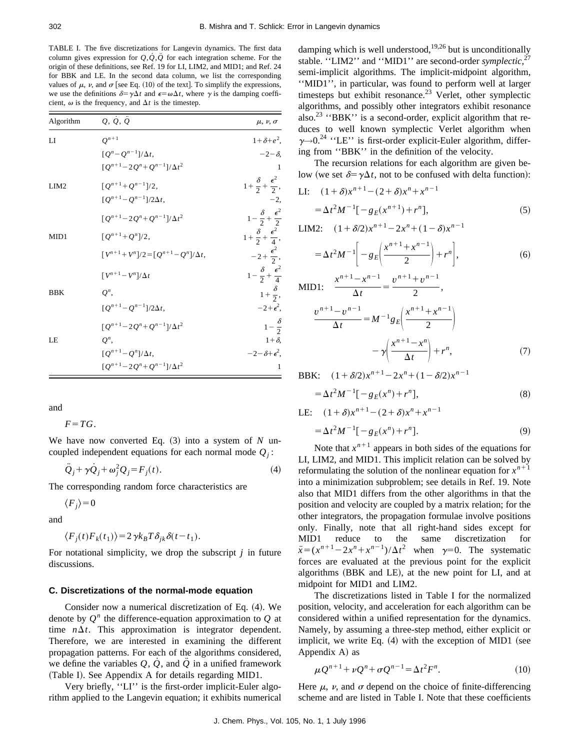TABLE I. The five discretizations for Langevin dynamics. The first data column gives expression for  $Q, \dot{Q}, \ddot{Q}$  for each integration scheme. For the origin of these definitions, see Ref. 19 for LI, LIM2, and MID1; and Ref. 24 for BBK and LE. In the second data column, we list the corresponding values of  $\mu$ ,  $\nu$ , and  $\sigma$  [see Eq. (10) of the text]. To simplify the expressions, we use the definitions  $\delta = \gamma \Delta t$  and  $\epsilon = \omega \Delta t$ , where  $\gamma$  is the damping coefficient,  $\omega$  is the frequency, and  $\Delta t$  is the timestep.

| Algorithm        | $Q, \dot{Q}, \ddot{Q}$                          | $\mu$ , $\nu$ , $\sigma$                   |
|------------------|-------------------------------------------------|--------------------------------------------|
| $_{\rm LI}$      | $Q^{n+1}$                                       | $1+\delta+e^2$ ,                           |
|                  | $[Q^n - Q^{n-1}]/\Delta t,$                     | $-2-\delta$                                |
|                  | $[Q^{n+1} - 2Q^n + Q^{n-1}]/\Delta t^2$         |                                            |
| LIM <sub>2</sub> | $[Q^{n+1}+Q^{n-1}]/2,$                          | $1+\frac{\delta}{2}+\frac{\epsilon^2}{2},$ |
|                  | $[Q^{n+1}-Q^{n-1}]/2\Delta t,$                  | $-2,$                                      |
|                  | $[Q^{n+1}-2Q^{n}+Q^{n-1}]/\Delta t^2$           | $1-\frac{\delta}{2}+\frac{\epsilon^2}{2}$  |
| MID1             | $[Q^{n+1}+Q^n]/2,$                              | $1+\frac{\delta}{2}+\frac{\epsilon^2}{4},$ |
|                  | $[V^{n+1} + V^n]/2 = [Q^{n+1} - Q^n]/\Delta t,$ | $-2+\frac{\epsilon^2}{2},$                 |
|                  | $\left[ V^{n+1}-V^{n}\right] /\Delta t$         | $1-\frac{\delta}{2}+\frac{\epsilon^2}{4}$  |
| <b>BBK</b>       | $Q^n$ ,                                         | $1+\frac{\delta}{2}$ ,                     |
|                  | $[Q^{n+1}-Q^{n-1}]/2\Delta t,$                  | $-2+\epsilon^2$ ,                          |
|                  | $[Q^{n+1}-2Q^n+Q^{n-1}]/\Delta t^2$             | $1-\frac{\delta}{2}$                       |
| LE               | $Q^n$ ,                                         | $1+\delta$ ,                               |
|                  | $[Q^{n+1}-Q^n]/\Delta t,$                       | $-2-\delta+\epsilon^2$ ,                   |
|                  | $[Q^{n+1} - 2Q^n + Q^{n-1}]/\Delta t^2$         | $\mathbf{1}$                               |

and

 $F=TG$ .

We have now converted Eq.  $(3)$  into a system of *N* uncoupled independent equations for each normal mode  $Q_i$ :

$$
\ddot{Q}_j + \gamma \dot{Q}_j + \omega_j^2 Q_j = F_j(t). \tag{4}
$$

The corresponding random force characteristics are

 $\langle F_i \rangle$ <sup>=0</sup>

and

$$
\langle F_j(t)F_k(t_1)\rangle = 2\gamma k_B T \delta_{jk}\delta(t - t_1).
$$

For notational simplicity, we drop the subscript *j* in future discussions.

#### **C. Discretizations of the normal-mode equation**

Consider now a numerical discretization of Eq.  $(4)$ . We denote by  $Q^n$  the difference-equation approximation to  $Q$  at time  $n\Delta t$ . This approximation is integrator dependent. Therefore, we are interested in examining the different propagation patterns. For each of the algorithms considered, we define the variables  $Q$ ,  $\dot{Q}$ , and  $\ddot{Q}$  in a unified framework (Table I). See Appendix A for details regarding MID1.

Very briefly, ''LI'' is the first-order implicit-Euler algorithm applied to the Langevin equation; it exhibits numerical damping which is well understood,  $19,26$  but is unconditionally stable. "LIM2" and "MID1" are second-order *symplectic*,<sup>27</sup> semi-implicit algorithms. The implicit-midpoint algorithm, ''MID1'', in particular, was found to perform well at larger timesteps but exhibit resonance.<sup>23</sup> Verlet, other symplectic algorithms, and possibly other integrators exhibit resonance also.<sup>23</sup> "BBK" is a second-order, explicit algorithm that reduces to well known symplectic Verlet algorithm when  $\gamma \rightarrow 0.^{24}$  "LE" is first-order explicit-Euler algorithm, differing from ''BBK'' in the definition of the velocity.

The recursion relations for each algorithm are given below (we set  $\delta = \gamma \Delta t$ , not to be confused with delta function):

LI: 
$$
(1+\delta)x^{n+1} - (2+\delta)x^{n} + x^{n-1}
$$

$$
= \Delta t^{2}M^{-1}[-g_{E}(x^{n+1}) + r^{n}],
$$
(5)

LIM2:  $(1+\delta/2)x^{n+1}-2x^n+(1-\delta)x^{n-1}$ 

$$
= \Delta t^2 M^{-1} \bigg[ -g_E \bigg( \frac{x^{n+1} + x^{n-1}}{2} \bigg) + r^n \bigg],
$$
 (6)

MID1:  $rac{x^{n+1}-x^{n-1}}{\Delta t} = \frac{v^{n+1}+v^{n-1}}{2},$  $\frac{v^{n+1} - v^{n-1}}{\Delta t} = M^{-1} g_E \left( \frac{x^{n+1} + x^{n-1}}{2} \right)$ 

$$
\Delta t = M^{-1} g_E \left( \frac{1}{2} \right)
$$

$$
- \gamma \left( \frac{x^{n+1} - x^n}{\Delta t} \right) + r^n, \tag{7}
$$

BBK:  $(1+\delta/2)x^{n+1}-2x^n+(1-\delta/2)x^{n-1}$ 

$$
= \Delta t^2 M^{-1} [-g_E(x^n) + r^n],
$$
\n(8)

LE:  $(1+\delta)x^{n+1}-(2+\delta)x^{n}+x^{n-1}$ 

$$
= \Delta t^2 M^{-1} [-g_E(x^n) + r^n].
$$
\n(9)

Note that  $x^{n+1}$  appears in both sides of the equations for LI, LIM2, and MID1. This implicit relation can be solved by reformulating the solution of the nonlinear equation for  $x^{n+1}$ into a minimization subproblem; see details in Ref. 19. Note also that MID1 differs from the other algorithms in that the position and velocity are coupled by a matrix relation; for the other integrators, the propagation formulae involve positions only. Finally, note that all right-hand sides except for MID1 reduce to the same discretization for  $\ddot{x} = (x^{n+1} - 2x^n + x^{n-1})/\Delta t^2$  when  $\gamma = 0$ . The systematic forces are evaluated at the previous point for the explicit algorithms (BBK and LE), at the new point for LI, and at midpoint for MID1 and LIM2.

The discretizations listed in Table I for the normalized position, velocity, and acceleration for each algorithm can be considered within a unified representation for the dynamics. Namely, by assuming a three-step method, either explicit or implicit, we write Eq.  $(4)$  with the exception of MID1 (see Appendix A) as

$$
\mu Q^{n+1} + \nu Q^n + \sigma Q^{n-1} = \Delta t^2 F^n.
$$
 (10)

Here  $\mu$ ,  $\nu$ , and  $\sigma$  depend on the choice of finite-differencing scheme and are listed in Table I. Note that these coefficients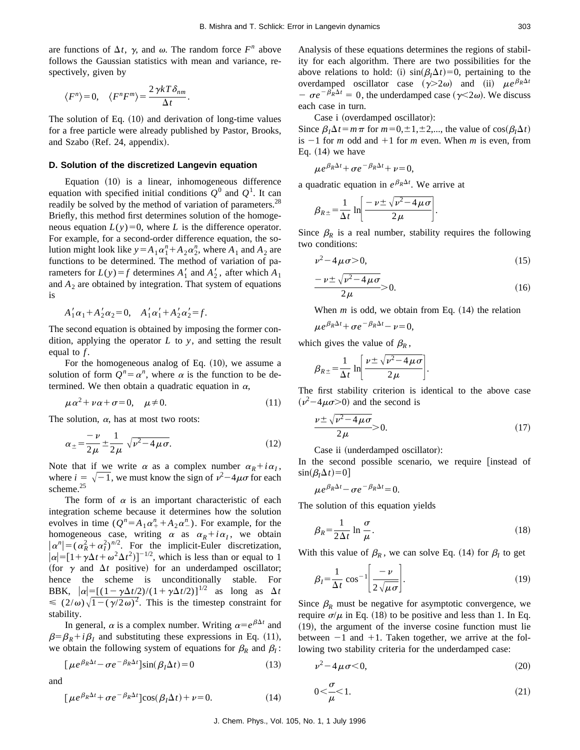are functions of  $\Delta t$ ,  $\gamma$ , and  $\omega$ . The random force  $F^n$  above follows the Gaussian statistics with mean and variance, respectively, given by

$$
\langle F^n \rangle = 0, \quad \langle F^n F^m \rangle = \frac{2 \gamma k T \delta_{nm}}{\Delta t}.
$$

The solution of Eq.  $(10)$  and derivation of long-time values for a free particle were already published by Pastor, Brooks, and Szabo  $(Ref. 24, *appendix*).$ 

## **D. Solution of the discretized Langevin equation**

Equation  $(10)$  is a linear, inhomogeneous difference equation with specified initial conditions  $Q^0$  and  $Q^1$ . It can readily be solved by the method of variation of parameters.<sup>28</sup> Briefly, this method first determines solution of the homogeneous equation  $L(y)=0$ , where *L* is the difference operator. For example, for a second-order difference equation, the solution might look like  $y = A_1 \alpha_1^n + A_2 \alpha_2^n$ , where  $A_1$  and  $A_2$  are functions to be determined. The method of variation of parameters for  $L(y) = f$  determines  $A'_1$  and  $A'_2$ , after which  $A_1$ and  $A_2$  are obtained by integration. That system of equations is

$$
A'_1\alpha_1 + A'_2\alpha_2 = 0, \quad A'_1\alpha'_1 + A'_2\alpha'_2 = f.
$$

The second equation is obtained by imposing the former condition, applying the operator *L* to *y*, and setting the result equal to *f* .

For the homogeneous analog of Eq.  $(10)$ , we assume a solution of form  $Q^n = \alpha^n$ , where  $\alpha$  is the function to be determined. We then obtain a quadratic equation in  $\alpha$ ,

$$
\mu \alpha^2 + \nu \alpha + \sigma = 0, \quad \mu \neq 0. \tag{11}
$$

The solution,  $\alpha$ , has at most two roots:

$$
\alpha_{\pm} = \frac{-\nu}{2\mu} \pm \frac{1}{2\mu} \sqrt{\nu^2 - 4\mu\sigma}.
$$
 (12)

Note that if we write  $\alpha$  as a complex number  $\alpha_R + i\alpha_I$ , where  $i = \sqrt{-1}$ , we must know the sign of  $v^2 - 4\mu\sigma$  for each scheme.<sup>25</sup>

The form of  $\alpha$  is an important characteristic of each integration scheme because it determines how the solution evolves in time  $(Q^n = A_1 \alpha_+^n + A_2 \alpha_-^n)$ . For example, for the homogeneous case, writing  $\alpha$  as  $\alpha_R + i\alpha_I$ , we obtain  $|\alpha^n| = (\alpha_R^2 + \alpha_I^2)^{n/2}$ . For the implicit-Euler discretization,  $|\alpha| = [1 + \gamma \Delta t + \omega^2 \Delta t^2]^{-1/2}$ , which is less than or equal to 1 (for  $\gamma$  and  $\Delta t$  positive) for an underdamped oscillator; hence the scheme is unconditionally stable. For BBK,  $|\alpha| = [(1-\gamma\Delta t/2)/(1+\gamma\Delta t/2)]^{1/2}$  as long as  $\Delta t$  $\leq (2/\omega)\sqrt{1-(\gamma/2\omega)^2}$ . This is the timestep constraint for stability.

In general,  $\alpha$  is a complex number. Writing  $\alpha = e^{\beta \Delta t}$  and  $\beta = \beta_R + i\beta_I$  and substituting these expressions in Eq. (11), we obtain the following system of equations for  $\beta_R$  and  $\beta_I$ :

$$
[\mu e^{\beta_R \Delta t} - \sigma e^{-\beta_R \Delta t}] \sin(\beta_I \Delta t) = 0 \tag{13}
$$

and

$$
\left[\mu e^{\beta_R \Delta t} + \sigma e^{-\beta_R \Delta t}\right] \cos(\beta_I \Delta t) + \nu = 0. \tag{14}
$$

Analysis of these equations determines the regions of stability for each algorithm. There are two possibilities for the above relations to hold: (i)  $\sin(\beta t) \Delta t$  = 0, pertaining to the overdamped oscillator case  $(\gamma > 2\omega)$  and (ii)  $\mu e^{\beta_R \Delta t}$  $-\sigma e^{-\beta_R \Delta t} = 0$ , the underdamped case ( $\gamma < 2\omega$ ). We discuss each case in turn.

Case i (overdamped oscillator):

Since  $\beta_I \Delta t = m \pi$  for  $m=0,\pm 1,\pm 2,...$ , the value of cos( $\beta_I \Delta t$ ) is  $-1$  for *m* odd and  $+1$  for *m* even. When *m* is even, from Eq.  $(14)$  we have

$$
\mu e^{\beta_R \Delta t} + \sigma e^{-\beta_R \Delta t} + \nu = 0,
$$

a quadratic equation in  $e^{\beta_R \Delta t}$ . We arrive at

$$
\beta_{R\pm} = \frac{1}{\Delta t} \ln \left[ \frac{-\nu \pm \sqrt{\nu^2 - 4\mu\sigma}}{2\mu} \right].
$$

Since  $\beta_R$  is a real number, stability requires the following two conditions:

$$
\nu^2 - 4\mu\sigma > 0,\tag{15}
$$

$$
\frac{-\nu \pm \sqrt{\nu^2 - 4\mu\sigma}}{2\mu} > 0.
$$
 (16)

When  $m$  is odd, we obtain from Eq.  $(14)$  the relation

$$
\mu e^{\beta_R \Delta t} + \sigma e^{-\beta_R \Delta t} - \nu = 0,
$$

which gives the value of  $\beta_R$ ,

$$
\beta_{R\pm} = \frac{1}{\Delta t} \ln \left[ \frac{\nu \pm \sqrt{\nu^2 - 4\mu\sigma}}{2\mu} \right].
$$

The first stability criterion is identical to the above case  $(\nu^2 - 4\mu\sigma > 0)$  and the second is

$$
\frac{\nu \pm \sqrt{\nu^2 - 4\mu\sigma}}{2\mu} > 0.
$$
 (17)

Case ii (underdamped oscillator):

In the second possible scenario, we require [instead of  $\sin(\beta_I \Delta t) = 0$ 

$$
\mu e^{\beta_R \Delta t} - \sigma e^{-\beta_R \Delta t} = 0.
$$

The solution of this equation yields

$$
\beta_R = \frac{1}{2\Delta t} \ln \frac{\sigma}{\mu}.
$$
\n(18)

With this value of  $\beta_R$ , we can solve Eq. (14) for  $\beta_I$  to get

$$
\beta_I = \frac{1}{\Delta t} \cos^{-1} \left[ \frac{-\nu}{2\sqrt{\mu \sigma}} \right].
$$
\n(19)

Since  $\beta_R$  must be negative for asymptotic convergence, we require  $\sigma/\mu$  in Eq. (18) to be positive and less than 1. In Eq.  $(19)$ , the argument of the inverse cosine function must lie between  $-1$  and  $+1$ . Taken together, we arrive at the following two stability criteria for the underdamped case:

$$
\nu^2 - 4\mu\sigma \le 0,\tag{20}
$$

$$
0 < \frac{\sigma}{\mu} < 1. \tag{21}
$$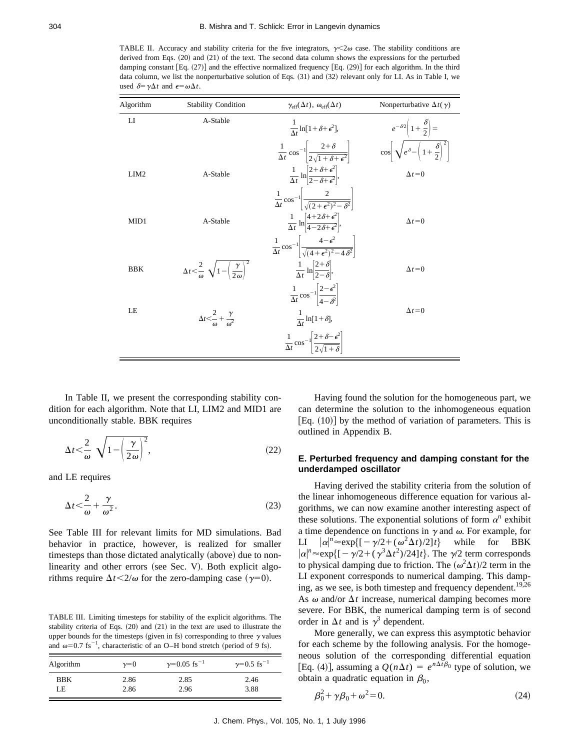TABLE II. Accuracy and stability criteria for the five integrators,  $\gamma \leq 2\omega$  case. The stability conditions are derived from Eqs.  $(20)$  and  $(21)$  of the text. The second data column shows the expressions for the perturbed damping constant [Eq.  $(27)$ ] and the effective normalized frequency [Eq.  $(29)$ ] for each algorithm. In the third data column, we list the nonperturbative solution of Eqs. (31) and (32) relevant only for LI. As in Table I, we used  $\delta = \gamma \Delta t$  and  $\epsilon = \omega \Delta t$ .

| Algorithm        | <b>Stability Condition</b>                                                     | $\gamma_{\rm eff}(\Delta t), \omega_{\rm eff}(\Delta t)$                                                    | Nonperturbative $\Delta t(\gamma)$                                     |
|------------------|--------------------------------------------------------------------------------|-------------------------------------------------------------------------------------------------------------|------------------------------------------------------------------------|
| LI               | A-Stable                                                                       | $\frac{1}{\Lambda_{\tau}}\ln[1+\delta+\epsilon^2],$                                                         | $e^{-\delta/2}\left(1+\frac{\delta}{2}\right)=$                        |
|                  |                                                                                | $\frac{1}{\Delta t} \cos^{-1} \left  \frac{2+\delta}{2\sqrt{1+\delta+\epsilon^2}} \right $                  | $\cos\left[\sqrt{e^{\delta}-\left(1+\frac{\delta}{2}\right)^2}\right]$ |
| LIM <sub>2</sub> | A-Stable                                                                       | $\frac{1}{\Delta t} \ln \left  \frac{2 + \delta + \epsilon^2}{2 - \delta + \epsilon^2} \right ,$            | $\Delta t = 0$                                                         |
|                  |                                                                                | $\frac{1}{\Delta t} \cos^{-1} \left  \frac{2}{\sqrt{(2+\epsilon^2)^2 - \delta^2}} \right $                  |                                                                        |
| MID1             | A-Stable                                                                       | $\frac{1}{\Delta t} \ln \left  \frac{4+2\delta+\epsilon^2}{4-2\delta+\epsilon^2} \right ,$                  | $\Delta t = 0$                                                         |
|                  |                                                                                | $\frac{1}{\Delta t} \cos^{-1} \left  \frac{4 - \epsilon^2}{\sqrt{(4 + \epsilon^2)^2 - 4 \delta^2}} \right $ |                                                                        |
| <b>BBK</b>       | $\Delta t < \frac{2}{\omega} \sqrt{1 - \left(\frac{\gamma}{2\omega}\right)^2}$ | $\frac{1}{\Delta t} \ln \left  \frac{2+\delta}{2-\delta} \right ,$                                          | $\Delta t = 0$                                                         |
|                  |                                                                                | $\frac{1}{\Delta t} \cos^{-1} \left  \frac{2 - \epsilon^2}{4 - \epsilon^2} \right $                         |                                                                        |
| LE               | $\Delta t < \frac{2}{\omega} + \frac{\gamma}{\omega^2}$                        | $\frac{1}{\Delta t} \ln[1+\delta],$                                                                         | $\Delta t = 0$                                                         |
|                  |                                                                                | $\frac{1}{\Delta t} \cos^{-1} \left  \frac{2 + \delta - \epsilon^2}{2\sqrt{1 + \delta}} \right $            |                                                                        |

In Table II, we present the corresponding stability condition for each algorithm. Note that LI, LIM2 and MID1 are unconditionally stable. BBK requires

$$
\Delta t \leq \frac{2}{\omega} \sqrt{1 - \left(\frac{\gamma}{2\omega}\right)^2},\tag{22}
$$

and LE requires

$$
\Delta t \leq \frac{2}{\omega} + \frac{\gamma}{\omega^2}.
$$
\n(23)

See Table III for relevant limits for MD simulations. Bad behavior in practice, however, is realized for smaller timesteps than those dictated analytically (above) due to nonlinearity and other errors (see Sec. V). Both explicit algorithms require  $\Delta t < 2/\omega$  for the zero-damping case ( $\gamma=0$ ).

TABLE III. Limiting timesteps for stability of the explicit algorithms. The stability criteria of Eqs.  $(20)$  and  $(21)$  in the text are used to illustrate the upper bounds for the timesteps (given in fs) corresponding to three  $\gamma$  values and  $\omega$ =0.7 fs<sup>-1</sup>, characteristic of an O–H bond stretch (period of 9 fs).

| Algorithm  | $\gamma=0$ | $\gamma = 0.05$ fs <sup>-1</sup> | $\gamma = 0.5$ fs <sup>-1</sup> |
|------------|------------|----------------------------------|---------------------------------|
| <b>BBK</b> | 2.86       | 2.85                             | 2.46                            |
| LE         | 2.86       | 2.96                             | 3.88                            |

Having found the solution for the homogeneous part, we can determine the solution to the inhomogeneous equation [Eq.  $(10)$ ] by the method of variation of parameters. This is outlined in Appendix B.

## **E. Perturbed frequency and damping constant for the underdamped oscillator**

Having derived the stability criteria from the solution of the linear inhomogeneous difference equation for various algorithms, we can now examine another interesting aspect of these solutions. The exponential solutions of form  $\alpha^n$  exhibit a time dependence on functions in  $\gamma$  and  $\omega$ . For example, for LI  $|\alpha|^n \approx \exp\{[-\gamma/2 + (\omega^2$ while for BBK  $|\alpha|^n \approx \exp\{[-\gamma/2 + (\gamma^3 \Delta t^2)/24]t\}$ . The  $\gamma/2$  term corresponds to physical damping due to friction. The  $({\omega}^2 \Delta t)/2$  term in the LI exponent corresponds to numerical damping. This damping, as we see, is both timestep and frequency dependent.<sup>19,26</sup> As  $\omega$  and/or  $\Delta t$  increase, numerical damping becomes more severe. For BBK, the numerical damping term is of second order in  $\Delta t$  and is  $\gamma^3$  dependent.

More generally, we can express this asymptotic behavior for each scheme by the following analysis. For the homogeneous solution of the corresponding differential equation [Eq. (4)], assuming a  $Q(n\Delta t) = e^{n\Delta t}b_0$  type of solution, we obtain a quadratic equation in  $\beta_0$ ,

$$
\beta_0^2 + \gamma \beta_0 + \omega^2 = 0. \tag{24}
$$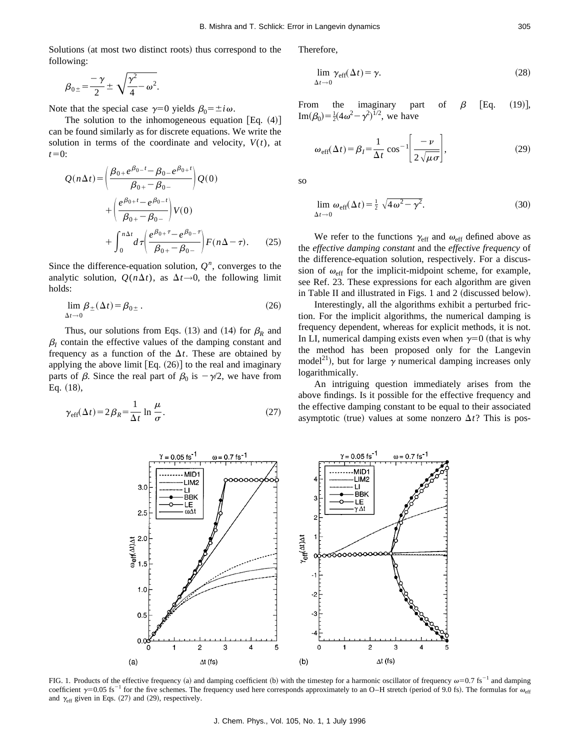Solutions (at most two distinct roots) thus correspond to the following:

$$
\beta_{0\pm} = \frac{-\gamma}{2} \pm \sqrt{\frac{\gamma^2}{4} - \omega^2}.
$$

Note that the special case  $\gamma=0$  yields  $\beta_0=\pm i\omega$ .

The solution to the inhomogeneous equation [Eq.  $(4)$ ] can be found similarly as for discrete equations. We write the solution in terms of the coordinate and velocity,  $V(t)$ , at  $t=0$ :

$$
Q(n\Delta t) = \left(\frac{\beta_{0+}e^{\beta_{0-}t} - \beta_{0-}e^{\beta_{0+}t}}{\beta_{0+} - \beta_{0-}}\right)Q(0) + \left(\frac{e^{\beta_{0+}t} - e^{\beta_{0-}t}}{\beta_{0+} - \beta_{0-}}\right)V(0) + \int_{0}^{n\Delta t} d\tau \left(\frac{e^{\beta_{0+} \tau} - e^{\beta_{0-} \tau}}{\beta_{0+} - \beta_{0-}}\right)F(n\Delta - \tau). \tag{25}
$$

Since the difference-equation solution,  $Q<sup>n</sup>$ , converges to the analytic solution,  $Q(n\Delta t)$ , as  $\Delta t \rightarrow 0$ , the following limit holds:

$$
\lim_{\Delta t \to 0} \beta_{\pm}(\Delta t) = \beta_{0\pm} \,. \tag{26}
$$

Thus, our solutions from Eqs. (13) and (14) for  $\beta_R$  and  $\beta$ <sup>*I*</sup> contain the effective values of the damping constant and frequency as a function of the  $\Delta t$ . These are obtained by applying the above limit  $[Eq. (26)]$  to the real and imaginary parts of  $\beta$ . Since the real part of  $\beta_0$  is  $-\gamma/2$ , we have from Eq.  $(18)$ ,

$$
\gamma_{\rm eff}(\Delta t) = 2\beta_R = \frac{1}{\Delta t} \ln \frac{\mu}{\sigma}.
$$
 (27)

Therefore,

$$
\lim_{\Delta t \to 0} \gamma_{\text{eff}}(\Delta t) = \gamma. \tag{28}
$$

From the imaginary part of  $\beta$  [Eq. (19)],  $\text{Im}(\beta_0) = \frac{1}{2}(4\omega^2 - \gamma^2)^{1/2}$ , we have

$$
\omega_{\text{eff}}(\Delta t) = \beta_I = \frac{1}{\Delta t} \cos^{-1} \left[ \frac{-\nu}{2\sqrt{\mu \sigma}} \right],\tag{29}
$$

so

$$
\lim_{\Delta t \to 0} \omega_{\text{eff}}(\Delta t) = \frac{1}{2} \sqrt{4 \omega^2 - \gamma^2}.
$$
 (30)

We refer to the functions  $\gamma_{\text{eff}}$  and  $\omega_{\text{eff}}$  defined above as the *effective damping constant* and the *effective frequency* of the difference-equation solution, respectively. For a discussion of  $\omega_{\text{eff}}$  for the implicit-midpoint scheme, for example, see Ref. 23. These expressions for each algorithm are given in Table II and illustrated in Figs.  $1$  and  $2$  (discussed below).

Interestingly, all the algorithms exhibit a perturbed friction. For the implicit algorithms, the numerical damping is frequency dependent, whereas for explicit methods, it is not. In LI, numerical damping exists even when  $\gamma=0$  (that is why the method has been proposed only for the Langevin model<sup>21</sup>), but for large  $\gamma$  numerical damping increases only logarithmically.

An intriguing question immediately arises from the above findings. Is it possible for the effective frequency and the effective damping constant to be equal to their associated asymptotic (true) values at some nonzero  $\Delta t$ ? This is pos-



FIG. 1. Products of the effective frequency (a) and damping coefficient (b) with the timestep for a harmonic oscillator of frequency  $\omega$ =0.7 fs<sup>-1</sup> and damping coefficient  $\gamma=0.05$  fs<sup>-1</sup> for the five schemes. The frequency used here corresponds approximately to an O–H stretch (period of 9.0 fs). The formulas for  $\omega_{\text{eff}}$ and  $\gamma_{\text{eff}}$  given in Eqs. (27) and (29), respectively.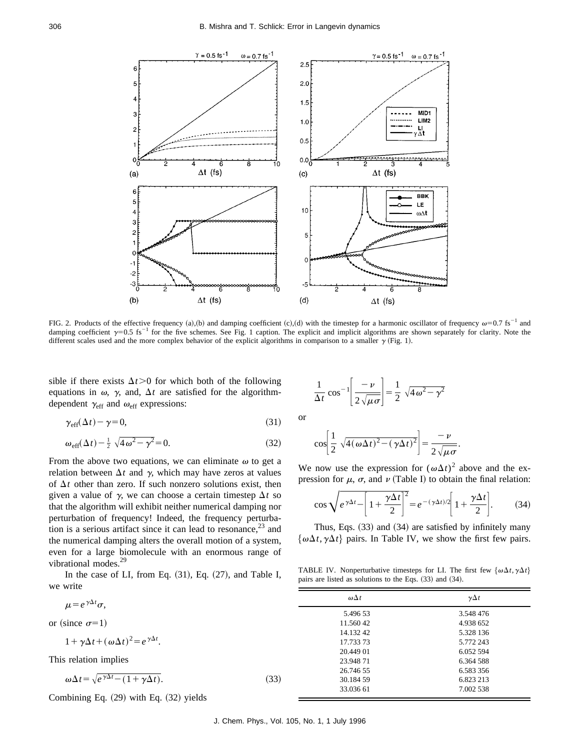

FIG. 2. Products of the effective frequency (a),(b) and damping coefficient (c),(d) with the timestep for a harmonic oscillator of frequency  $\omega$ =0.7 fs<sup>-1</sup> and damping coefficient  $\gamma=0.5$  fs<sup>-1</sup> for the five schemes. See Fig. 1 caption. The explicit and implicit algorithms are shown separately for clarity. Note the different scales used and the more complex behavior of the explicit algorithms in comparison to a smaller  $\gamma$  (Fig. 1).

sible if there exists  $\Delta t > 0$  for which both of the following equations in  $\omega$ ,  $\gamma$ , and,  $\Delta t$  are satisfied for the algorithmdependent  $\gamma_{\text{eff}}$  and  $\omega_{\text{eff}}$  expressions:

$$
\gamma_{\rm eff}(\Delta t) - \gamma = 0,\tag{31}
$$

$$
\omega_{\text{eff}}(\Delta t) - \frac{1}{2} \sqrt{4\omega^2 - \gamma^2} = 0. \tag{32}
$$

From the above two equations, we can eliminate  $\omega$  to get a relation between  $\Delta t$  and  $\gamma$ , which may have zeros at values of  $\Delta t$  other than zero. If such nonzero solutions exist, then given a value of  $\gamma$ , we can choose a certain timestep  $\Delta t$  so that the algorithm will exhibit neither numerical damping nor perturbation of frequency! Indeed, the frequency perturbation is a serious artifact since it can lead to resonance,  $2<sup>3</sup>$  and the numerical damping alters the overall motion of a system, even for a large biomolecule with an enormous range of vibrational modes.<sup>29</sup>

In the case of LI, from Eq.  $(31)$ , Eq.  $(27)$ , and Table I, we write

$$
\mu = e^{\gamma \Delta t} \sigma,
$$

or (since  $\sigma=1$ )

$$
1 + \gamma \Delta t + (\omega \Delta t)^2 = e^{\gamma \Delta t}.
$$

This relation implies

$$
\omega \Delta t = \sqrt{e^{\gamma \Delta t} - (1 + \gamma \Delta t)}.
$$
\n(33)

Combining Eq.  $(29)$  with Eq.  $(32)$  yields

$$
\frac{1}{\Delta t} \cos^{-1} \left[ \frac{-\nu}{2\sqrt{\mu \sigma}} \right] = \frac{1}{2} \sqrt{4\omega^2 - \gamma^2}
$$

or

$$
\cos\left[\frac{1}{2}\sqrt{4(\omega\Delta t)^2-(\gamma\Delta t)^2}\right] = \frac{-\nu}{2\sqrt{\mu\sigma}}.
$$

We now use the expression for  $(\omega \Delta t)^2$  above and the expression for  $\mu$ ,  $\sigma$ , and  $\nu$  (Table I) to obtain the final relation:

$$
\cos\sqrt{e^{\gamma\Delta t} - \left[1 + \frac{\gamma\Delta t}{2}\right]^2} = e^{-(\gamma\Delta t)/2} \left[1 + \frac{\gamma\Delta t}{2}\right].\tag{34}
$$

Thus, Eqs.  $(33)$  and  $(34)$  are satisfied by infinitely many  $\{\omega \Delta t, \gamma \Delta t\}$  pairs. In Table IV, we show the first few pairs.

TABLE IV. Nonperturbative timesteps for LI. The first few  $\{\omega \Delta t, \gamma \Delta t\}$ pairs are listed as solutions to the Eqs.  $(33)$  and  $(34)$ .

| $\omega \Delta t$ | $\gamma \Delta t$ |
|-------------------|-------------------|
| 5.496 53          | 3.548 476         |
| 11.560 42         | 4.938 652         |
| 14.132.42         | 5.328 136         |
| 17.733.73         | 5.772 243         |
| 20.449 01         | 6.052 594         |
| 23.94871          | 6.364 588         |
| 26.746.55         | 6.583 356         |
| 30.184.59         | 6.823 213         |
| 33.036 61         | 7.002 538         |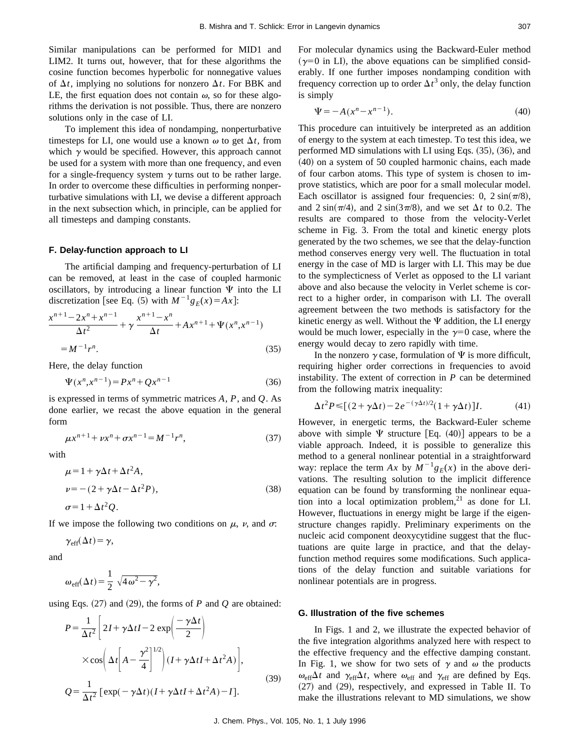Similar manipulations can be performed for MID1 and LIM2. It turns out, however, that for these algorithms the cosine function becomes hyperbolic for nonnegative values of  $\Delta t$ , implying no solutions for nonzero  $\Delta t$ . For BBK and LE, the first equation does not contain  $\omega$ , so for these algorithms the derivation is not possible. Thus, there are nonzero solutions only in the case of LI.

To implement this idea of nondamping, nonperturbative timesteps for LI, one would use a known  $\omega$  to get  $\Delta t$ , from which  $\gamma$  would be specified. However, this approach cannot be used for a system with more than one frequency, and even for a single-frequency system  $\gamma$  turns out to be rather large. In order to overcome these difficulties in performing nonperturbative simulations with LI, we devise a different approach in the next subsection which, in principle, can be applied for all timesteps and damping constants.

## **F. Delay-function approach to LI**

The artificial damping and frequency-perturbation of LI can be removed, at least in the case of coupled harmonic oscillators, by introducing a linear function  $\Psi$  into the LI discretization [see Eq. (5) with  $M^{-1}g_E(x) = Ax$ ]:

$$
\frac{x^{n+1} - 2x^n + x^{n-1}}{\Delta t^2} + \gamma \frac{x^{n+1} - x^n}{\Delta t} + Ax^{n+1} + \Psi(x^n, x^{n-1})
$$
  
=  $M^{-1}r^n$ . (35)

Here, the delay function

$$
\Psi(x^n, x^{n-1}) = Px^n + Qx^{n-1}
$$
\n(36)

is expressed in terms of symmetric matrices *A*, *P*, and *Q*. As done earlier, we recast the above equation in the general form

$$
\mu x^{n+1} + \nu x^n + \sigma x^{n-1} = M^{-1} r^n, \tag{37}
$$

with

$$
\mu = 1 + \gamma \Delta t + \Delta t^2 A,
$$
  
\n
$$
\nu = -(2 + \gamma \Delta t - \Delta t^2 P),
$$
  
\n
$$
\sigma = 1 + \Delta t^2 Q.
$$
\n(38)

If we impose the following two conditions on  $\mu$ ,  $\nu$ , and  $\sigma$ .

$$
\gamma_{\rm eff}(\Delta t) = \gamma,
$$

and

$$
\omega_{\text{eff}}(\Delta t) = \frac{1}{2} \sqrt{4 \omega^2 - \gamma^2},
$$

using Eqs.  $(27)$  and  $(29)$ , the forms of *P* and *Q* are obtained:

$$
P = \frac{1}{\Delta t^2} \left[ 2I + \gamma \Delta t I - 2 \exp\left(\frac{-\gamma \Delta t}{2}\right) \right]
$$
  
 
$$
\times \cos\left(\Delta t \left[A - \frac{\gamma^2}{4}\right]^{1/2}\right) (I + \gamma \Delta t I + \Delta t^2 A) \Bigg],
$$
  
\n
$$
Q = \frac{1}{\Delta t^2} \left[ \exp(-\gamma \Delta t) (I + \gamma \Delta t I + \Delta t^2 A) - I \right].
$$
\n(39)

For molecular dynamics using the Backward-Euler method  $(\gamma=0$  in LI), the above equations can be simplified considerably. If one further imposes nondamping condition with frequency correction up to order  $\Delta t^3$  only, the delay function is simply

$$
\Psi = -A(x^n - x^{n-1}).
$$
\n(40)

This procedure can intuitively be interpreted as an addition of energy to the system at each timestep. To test this idea, we performed MD simulations with LI using Eqs.  $(35)$ ,  $(36)$ , and  $(40)$  on a system of 50 coupled harmonic chains, each made of four carbon atoms. This type of system is chosen to improve statistics, which are poor for a small molecular model. Each oscillator is assigned four frequencies: 0,  $2 \sin(\pi/8)$ , and  $2 \sin(\pi/4)$ , and  $2 \sin(3\pi/8)$ , and we set  $\Delta t$  to 0.2. The results are compared to those from the velocity-Verlet scheme in Fig. 3. From the total and kinetic energy plots generated by the two schemes, we see that the delay-function method conserves energy very well. The fluctuation in total energy in the case of MD is larger with LI. This may be due to the symplecticness of Verlet as opposed to the LI variant above and also because the velocity in Verlet scheme is correct to a higher order, in comparison with LI. The overall agreement between the two methods is satisfactory for the kinetic energy as well. Without the  $\Psi$  addition, the LI energy would be much lower, especially in the  $\gamma=0$  case, where the energy would decay to zero rapidly with time.

In the nonzero  $\gamma$  case, formulation of  $\Psi$  is more difficult, requiring higher order corrections in frequencies to avoid instability. The extent of correction in *P* can be determined from the following matrix inequality:

$$
\Delta t^2 P \le [(2 + \gamma \Delta t) - 2e^{-(\gamma \Delta t)/2} (1 + \gamma \Delta t)]I. \tag{41}
$$

However, in energetic terms, the Backward-Euler scheme above with simple  $\Psi$  structure [Eq. (40)] appears to be a viable approach. Indeed, it is possible to generalize this method to a general nonlinear potential in a straightforward way: replace the term *Ax* by  $M^{-1}g_E(x)$  in the above derivations. The resulting solution to the implicit difference equation can be found by transforming the nonlinear equation into a local optimization problem, $21$  as done for LI. However, fluctuations in energy might be large if the eigenstructure changes rapidly. Preliminary experiments on the nucleic acid component deoxycytidine suggest that the fluctuations are quite large in practice, and that the delayfunction method requires some modifications. Such applications of the delay function and suitable variations for nonlinear potentials are in progress.

#### **G. Illustration of the five schemes**

In Figs. 1 and 2, we illustrate the expected behavior of the five integration algorithms analyzed here with respect to the effective frequency and the effective damping constant. In Fig. 1, we show for two sets of  $\gamma$  and  $\omega$  the products  $\omega_{\text{eff}}\Delta t$  and  $\gamma_{\text{eff}}\Delta t$ , where  $\omega_{\text{eff}}$  and  $\gamma_{\text{eff}}$  are defined by Eqs.  $(27)$  and  $(29)$ , respectively, and expressed in Table II. To make the illustrations relevant to MD simulations, we show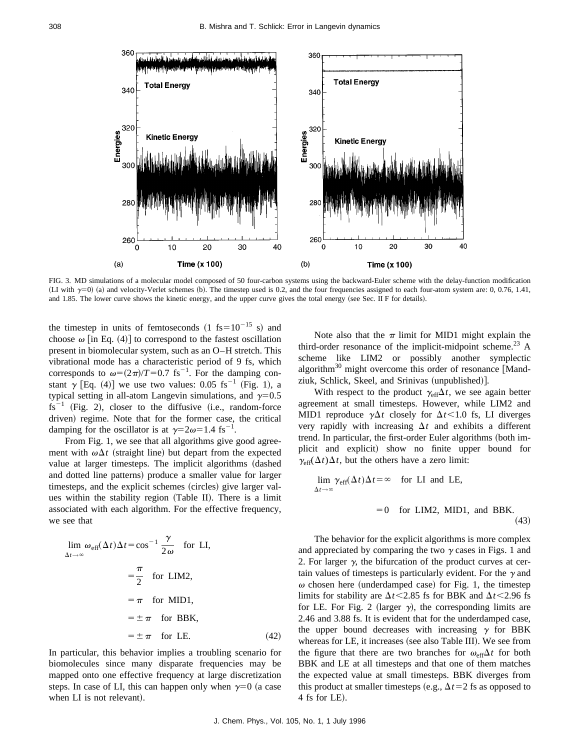

FIG. 3. MD simulations of a molecular model composed of 50 four-carbon systems using the backward-Euler scheme with the delay-function modification (LI with  $\gamma=0$ ) (a) and velocity-Verlet schemes (b). The timestep used is 0.2, and the four frequencies assigned to each four-atom system are: 0, 0.76, 1.41, and 1.85. The lower curve shows the kinetic energy, and the upper curve gives the total energy (see Sec. II F for details).

the timestep in units of femtoseconds  $(1 \text{ fs} = 10^{-15} \text{ s})$  and choose  $\omega$  [in Eq. (4)] to correspond to the fastest oscillation present in biomolecular system, such as an O–H stretch. This vibrational mode has a characteristic period of 9 fs, which corresponds to  $\omega=(2\pi)/T=0.7$  fs<sup>-1</sup>. For the damping constant  $\gamma$  [Eq. (4)] we use two values: 0.05 fs<sup>-1</sup> (Fig. 1), a typical setting in all-atom Langevin simulations, and  $\gamma=0.5$  $fs^{-1}$  (Fig. 2), closer to the diffusive (i.e., random-force driven) regime. Note that for the former case, the critical damping for the oscillator is at  $\gamma=2\omega=1.4$  fs<sup>-1</sup>.

From Fig. 1, we see that all algorithms give good agreement with  $\omega \Delta t$  (straight line) but depart from the expected value at larger timesteps. The implicit algorithms (dashed and dotted line patterns) produce a smaller value for larger timesteps, and the explicit schemes (circles) give larger values within the stability region (Table II). There is a limit associated with each algorithm. For the effective frequency, we see that

$$
\lim_{\Delta t \to \infty} \omega_{\text{eff}}(\Delta t) \Delta t = \cos^{-1} \frac{\gamma}{2 \omega} \quad \text{for LI},
$$
  

$$
= \frac{\pi}{2} \quad \text{for LIM2},
$$
  

$$
= \pi \quad \text{for MID1},
$$
  

$$
= \pm \pi \quad \text{for BBK},
$$
  

$$
= \pm \pi \quad \text{for LE}. \tag{42}
$$

In particular, this behavior implies a troubling scenario for biomolecules since many disparate frequencies may be mapped onto one effective frequency at large discretization steps. In case of LI, this can happen only when  $\gamma=0$  (a case when LI is not relevant).

Note also that the  $\pi$  limit for MID1 might explain the third-order resonance of the implicit-midpoint scheme.<sup>23</sup> A scheme like LIM2 or possibly another symplectic algorithm<sup>30</sup> might overcome this order of resonance [Mandziuk, Schlick, Skeel, and Srinivas (unpublished)].

With respect to the product  $\gamma_{\text{eff}}\Delta t$ , we see again better agreement at small timesteps. However, while LIM2 and MID1 reproduce  $\gamma \Delta t$  closely for  $\Delta t$  < 1.0 fs, LI diverges very rapidly with increasing  $\Delta t$  and exhibits a different trend. In particular, the first-order Euler algorithms (both implicit and explicit) show no finite upper bound for  $\gamma_{\text{eff}}(\Delta t)\Delta t$ , but the others have a zero limit:

$$
\lim_{\Delta t \to \infty} \gamma_{\text{eff}}(\Delta t) \Delta t = \infty \quad \text{for LI and LE},
$$
  
= 0 for LIM2, MID1, and BBK. (43)

The behavior for the explicit algorithms is more complex and appreciated by comparing the two  $\gamma$  cases in Figs. 1 and 2. For larger  $\gamma$ , the bifurcation of the product curves at certain values of timesteps is particularly evident. For the  $\gamma$  and  $\omega$  chosen here (underdamped case) for Fig. 1, the timestep limits for stability are  $\Delta t$  < 2.85 fs for BBK and  $\Delta t$  < 2.96 fs for LE. For Fig. 2 (larger  $\gamma$ ), the corresponding limits are 2.46 and 3.88 fs. It is evident that for the underdamped case, the upper bound decreases with increasing  $\gamma$  for BBK whereas for LE, it increases (see also Table III). We see from the figure that there are two branches for  $\omega_{\text{eff}}\Delta t$  for both BBK and LE at all timesteps and that one of them matches the expected value at small timesteps. BBK diverges from this product at smaller timesteps (e.g.,  $\Delta t=2$  fs as opposed to  $4$  fs for LE).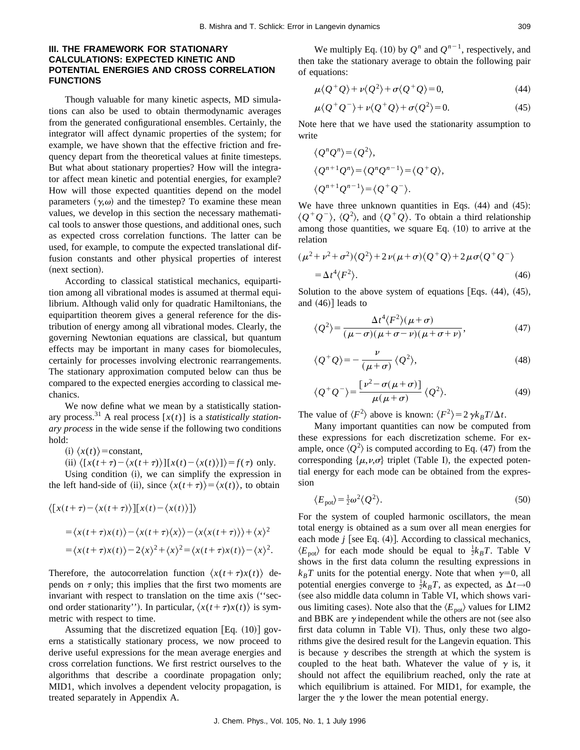# **III. THE FRAMEWORK FOR STATIONARY CALCULATIONS: EXPECTED KINETIC AND POTENTIAL ENERGIES AND CROSS CORRELATION FUNCTIONS**

Though valuable for many kinetic aspects, MD simulations can also be used to obtain thermodynamic averages from the generated configurational ensembles. Certainly, the integrator will affect dynamic properties of the system; for example, we have shown that the effective friction and frequency depart from the theoretical values at finite timesteps. But what about stationary properties? How will the integrator affect mean kinetic and potential energies, for example? How will those expected quantities depend on the model parameters  $(\gamma,\omega)$  and the timestep? To examine these mean values, we develop in this section the necessary mathematical tools to answer those questions, and additional ones, such as expected cross correlation functions. The latter can be used, for example, to compute the expected translational diffusion constants and other physical properties of interest (next section).

According to classical statistical mechanics, equipartition among all vibrational modes is assumed at thermal equilibrium. Although valid only for quadratic Hamiltonians, the equipartition theorem gives a general reference for the distribution of energy among all vibrational modes. Clearly, the governing Newtonian equations are classical, but quantum effects may be important in many cases for biomolecules, certainly for processes involving electronic rearrangements. The stationary approximation computed below can thus be compared to the expected energies according to classical mechanics.

We now define what we mean by a statistically stationary process.<sup>31</sup> A real process  $[x(t)]$  is a *statistically stationary process* in the wide sense if the following two conditions hold:

 $(i) \langle x(t) \rangle$ =constant,

(ii) 
$$
\langle [x(t+\tau) - \langle x(t+\tau) \rangle][x(t) - \langle x(t) \rangle] \rangle = f(\tau)
$$
 only.

Using condition (i), we can simplify the expression in the left hand-side of (ii), since  $\langle x(t+\tau) \rangle = \langle x(t) \rangle$ , to obtain

$$
\langle [x(t+\tau) - \langle x(t+\tau) \rangle][x(t) - \langle x(t) \rangle] \rangle
$$
  
=  $\langle x(t+\tau)x(t) \rangle - \langle x(t+\tau)\langle x \rangle \rangle - \langle x(x(t+\tau)) \rangle + \langle x \rangle^2$   
=  $\langle x(t+\tau)x(t) \rangle - 2\langle x \rangle^2 + \langle x \rangle^2 = \langle x(t+\tau)x(t) \rangle - \langle x \rangle^2$ .

Therefore, the autocorrelation function  $\langle x(t+\tau)x(t) \rangle$  depends on  $\tau$  only; this implies that the first two moments are invariant with respect to translation on the time axis ("second order stationarity''). In particular,  $\langle x(t+\tau)x(t) \rangle$  is symmetric with respect to time.

Assuming that the discretized equation  $[Eq. (10)]$  governs a statistically stationary process, we now proceed to derive useful expressions for the mean average energies and cross correlation functions. We first restrict ourselves to the algorithms that describe a coordinate propagation only; MID1, which involves a dependent velocity propagation, is treated separately in Appendix A.

$$
\mu \langle Q^+ Q \rangle + \nu \langle Q^2 \rangle + \sigma \langle Q^+ Q \rangle = 0, \tag{44}
$$

$$
\mu \langle Q^+ Q^- \rangle + \nu \langle Q^+ Q \rangle + \sigma \langle Q^2 \rangle = 0. \tag{45}
$$

Note here that we have used the stationarity assumption to write

$$
\langle Q^n Q^n \rangle = \langle Q^2 \rangle,
$$
  
\n
$$
\langle Q^{n+1} Q^n \rangle = \langle Q^n Q^{n-1} \rangle = \langle Q^+ Q \rangle,
$$
  
\n
$$
\langle Q^{n+1} Q^{n-1} \rangle = \langle Q^+ Q^- \rangle.
$$

We have three unknown quantities in Eqs.  $(44)$  and  $(45)$ :  $\langle Q^+Q^-\rangle$ ,  $\langle Q^2\rangle$ , and  $\langle Q^+Q\rangle$ . To obtain a third relationship among those quantities, we square Eq.  $(10)$  to arrive at the relation

$$
(\mu^2 + \nu^2 + \sigma^2) \langle Q^2 \rangle + 2 \nu (\mu + \sigma) \langle Q^+ Q \rangle + 2 \mu \sigma \langle Q^+ Q^- \rangle
$$
  
=  $\Delta t^4 \langle F^2 \rangle$ . (46)

Solution to the above system of equations [Eqs.  $(44)$ ,  $(45)$ , and  $(46)$ ] leads to

$$
\langle Q^2 \rangle = \frac{\Delta t^4 \langle F^2 \rangle (\mu + \sigma)}{(\mu - \sigma)(\mu + \sigma - \nu)(\mu + \sigma + \nu)},\tag{47}
$$

$$
\langle Q^+Q \rangle = -\frac{\nu}{(\mu+\sigma)} \langle Q^2 \rangle, \tag{48}
$$

$$
\langle Q^+Q^-\rangle = \frac{\left[\nu^2-\sigma(\mu+\sigma)\right]}{\mu(\mu+\sigma)}\langle Q^2\rangle.
$$
 (49)

The value of  $\langle F^2 \rangle$  above is known:  $\langle F^2 \rangle = 2 \gamma k_B T / \Delta t$ .

Many important quantities can now be computed from these expressions for each discretization scheme. For example, once  $\langle Q^2 \rangle$  is computed according to Eq. (47) from the corresponding  $\{\mu,\nu,\sigma\}$  triplet (Table I), the expected potential energy for each mode can be obtained from the expression

$$
\langle E_{\text{pot}} \rangle = \frac{1}{2} \omega^2 \langle Q^2 \rangle. \tag{50}
$$

For the system of coupled harmonic oscillators, the mean total energy is obtained as a sum over all mean energies for each mode  $j$  [see Eq.  $(4)$ ]. According to classical mechanics,  $\langle E_{pot} \rangle$  for each mode should be equal to  $\frac{1}{2}k_B T$ . Table V shows in the first data column the resulting expressions in  $k_B T$  units for the potential energy. Note that when  $\gamma=0$ , all potential energies converge to  $\frac{1}{2}k_B T$ , as expected, as  $\Delta t \rightarrow 0$ (see also middle data column in Table VI, which shows various limiting cases). Note also that the  $\langle E_{\text{pot}}\rangle$  values for LIM2 and BBK are  $\gamma$  independent while the others are not (see also first data column in Table VI). Thus, only these two algorithms give the desired result for the Langevin equation. This is because  $\gamma$  describes the strength at which the system is coupled to the heat bath. Whatever the value of  $\gamma$  is, it should not affect the equilibrium reached, only the rate at which equilibrium is attained. For MID1, for example, the larger the  $\gamma$  the lower the mean potential energy.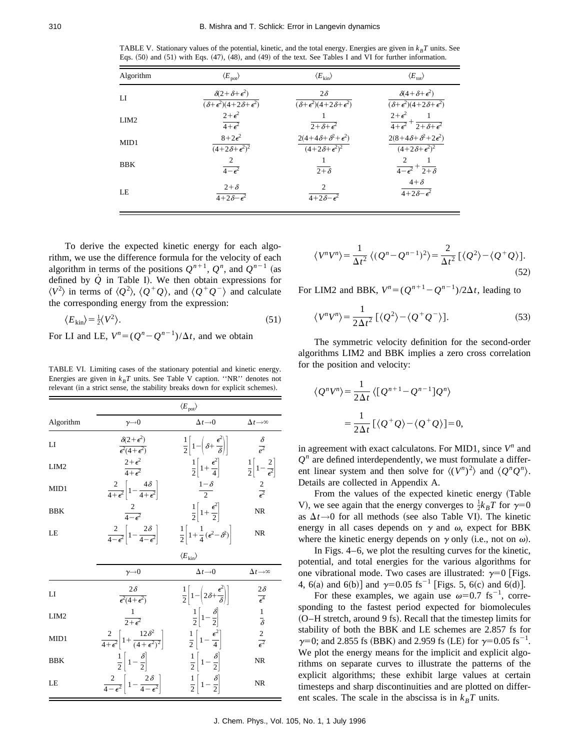TABLE V. Stationary values of the potential, kinetic, and the total energy. Energies are given in  $k_B T$  units. See Eqs.  $(50)$  and  $(51)$  with Eqs.  $(47)$ ,  $(48)$ , and  $(49)$  of the text. See Tables I and VI for further information.

| Algorithm        | $\langle E_{\rm pot} \rangle$                          | $\langle E_{\rm kin} \rangle$                     | $\langle E_{\rm tot} \rangle$                                                                      |
|------------------|--------------------------------------------------------|---------------------------------------------------|----------------------------------------------------------------------------------------------------|
| LI               | $\delta(2+\delta+\epsilon^2)$                          | $2\delta$                                         | $\delta(4+\delta+\epsilon^2)$                                                                      |
|                  | $\overline{(\delta+\epsilon^2)(4+2\delta+\epsilon^2)}$ | $(\delta + \epsilon^2)(4 + 2\delta + \epsilon^2)$ | $\overline{(\delta+\epsilon^2)(4+2\delta+\epsilon^2)}$                                             |
| LIM <sub>2</sub> | $2+\epsilon^2$<br>$\overline{4+\epsilon^2}$            | $\sqrt{2+\delta+\epsilon^2}$                      | $2+\epsilon^2$<br>$\blacksquare$ 1<br>$\overline{4+\epsilon^2}$ + $\overline{2+\delta+\epsilon^2}$ |
| MID1             | $8+2\epsilon^2$                                        | $2(4+4\delta+\delta^2+\epsilon^2)$                | $2(8+4\delta+\delta^2+2\epsilon^2)$                                                                |
|                  | $\sqrt{(4+2\delta+\epsilon^2)^2}$                      | $(4+2\delta+\epsilon^2)^2$                        | $(4+2\delta+\epsilon^2)^2$                                                                         |
| <b>BBK</b>       | 2<br>$\overline{4-\epsilon^2}$                         | $2+\delta$                                        | 2<br>$\overline{1}$<br>$\overline{4-\epsilon^2}$ + $\overline{2+\delta}$                           |
| LE               | $2+\delta$                                             | 2                                                 | $4+\delta$                                                                                         |
|                  | $\sqrt{4+2\delta-\epsilon^2}$                          | $4+2\delta-\epsilon^2$                            | $\sqrt{4+2\delta-\epsilon^2}$                                                                      |

To derive the expected kinetic energy for each algorithm, we use the difference formula for the velocity of each algorithm in terms of the positions  $Q^{n+1}$ ,  $Q^n$ , and  $Q^{n-1}$  (as defined by  $\dot{Q}$  in Table I). We then obtain expressions for  $\langle V^2 \rangle$  in terms of  $\langle Q^2 \rangle$ ,  $\langle Q^+Q \rangle$ , and  $\langle Q^+Q^- \rangle$  and calculate the corresponding energy from the expression:

$$
\langle E_{\rm kin} \rangle = \frac{1}{2} \langle V^2 \rangle. \tag{51}
$$

For LI and LE,  $V^n = (Q^n - Q^{n-1})/\Delta t$ , and we obtain

TABLE VI. Limiting cases of the stationary potential and kinetic energy. Energies are given in  $k_B T$  units. See Table V caption. "NR" denotes not relevant (in a strict sense, the stability breaks down for explicit schemes).

|                  | $\langle E_{\rm pot} \rangle$                                              |                                                                            |                                                  |
|------------------|----------------------------------------------------------------------------|----------------------------------------------------------------------------|--------------------------------------------------|
| Algorithm        | $\gamma \rightarrow 0$                                                     | $\Delta t \rightarrow 0$                                                   | $\Delta t \rightarrow \infty$                    |
| LI               | $\delta(2+\epsilon^2)$<br>$\overline{\epsilon^2(4+\epsilon^2)}$            | $\frac{1}{2}\left[1-\left(\delta+\frac{\epsilon^2}{\delta}\right)\right]$  | $\frac{\delta}{\rho^2}$                          |
| LIM <sub>2</sub> | $2+\epsilon^2$<br>$\overline{4+\epsilon^2}$                                | $rac{1}{2} \left[ 1 + \frac{\epsilon^2}{4} \right]$                        | $\frac{1}{2}\left[1-\frac{2}{\epsilon^2}\right]$ |
| MID1             | $\frac{2}{4+\epsilon^2}\left[1-\frac{4\delta}{4+\epsilon^2}\right]$        | $\frac{1-\delta}{2}$                                                       | $\frac{2}{e^2}$                                  |
| <b>BBK</b>       | $\frac{2}{4-\epsilon^2}$                                                   | $rac{1}{2}\left[1+\frac{\epsilon^2}{2}\right]$                             | <b>NR</b>                                        |
| LE               | $\frac{2}{4-\epsilon^2}\left 1-\frac{2\delta}{4-\epsilon^2}\right $        | $\frac{1}{2}\left 1+\frac{1}{4}(\epsilon^2-\delta^2)\right $               | <b>NR</b>                                        |
|                  |                                                                            | $\langle E_{\rm kin} \rangle$                                              |                                                  |
|                  | $\gamma \rightarrow 0$                                                     | $\Delta t \rightarrow 0$                                                   | $\Delta t \rightarrow \infty$                    |
| LI               | $2\delta$<br>$\overline{\epsilon^2(4+\epsilon^2)}$                         | $\frac{1}{2}\left[1-\left(2\delta+\frac{\epsilon^2}{\delta}\right)\right]$ | $\frac{2\delta}{\epsilon^4}$                     |
| LIM <sub>2</sub> | $\frac{1}{2+\epsilon^2}$                                                   | $rac{1}{2}\left[1-\frac{\delta}{2}\right]$                                 | $\frac{1}{\delta}$                               |
| MID1             | $\frac{2}{4+\epsilon^2}\left[1+\frac{12\delta^2}{(4+\epsilon^2)^2}\right]$ | $\frac{1}{2}\left[1-\frac{\epsilon^2}{4}\right]$                           | $rac{2}{\epsilon^2}$                             |
| <b>BBK</b>       | $rac{1}{2} \left[ 1 - \frac{\delta}{2} \right]$                            | $rac{1}{2} \left[ 1 - \frac{\delta}{2} \right]$                            | <b>NR</b>                                        |
| LE               | $\frac{2}{4-\epsilon^2}\left[1-\frac{2\delta}{4-\epsilon^2}\right]$        | $rac{1}{2}\left[1-\frac{\delta}{2}\right]$                                 | <b>NR</b>                                        |

$$
\langle V^n V^n \rangle = \frac{1}{\Delta t^2} \left\langle (Q^n - Q^{n-1})^2 \right\rangle = \frac{2}{\Delta t^2} \left[ \langle Q^2 \rangle - \langle Q^+ Q \rangle \right]. \tag{52}
$$

For LIM2 and BBK,  $V^n = (Q^{n+1} - Q^{n-1})/2\Delta t$ , leading to

$$
\langle V^n V^n \rangle = \frac{1}{2\Delta t^2} \left[ \langle Q^2 \rangle - \langle Q^+ Q^- \rangle \right]. \tag{53}
$$

The symmetric velocity definition for the second-order algorithms LIM2 and BBK implies a zero cross correlation for the position and velocity:

$$
\langle \mathcal{Q}^n V^n \rangle = \frac{1}{2\Delta t} \langle [\mathcal{Q}^{n+1} - \mathcal{Q}^{n-1}] \mathcal{Q}^n \rangle
$$
  
= 
$$
\frac{1}{2\Delta t} [ \langle \mathcal{Q}^+ \mathcal{Q} \rangle - \langle \mathcal{Q}^+ \mathcal{Q} \rangle ] = 0,
$$

in agreement with exact calculatons. For MID1, since  $V^n$  and  $Q<sup>n</sup>$  are defined interdependently, we must formulate a different linear system and then solve for  $\langle (V^n)^2 \rangle$  and  $\langle Q^n Q^n \rangle$ . Details are collected in Appendix A.

From the values of the expected kinetic energy (Table V), we see again that the energy converges to  $\frac{1}{2}k_B T$  for  $\gamma=0$ as  $\Delta t \rightarrow 0$  for all methods (see also Table VI). The kinetic energy in all cases depends on  $\gamma$  and  $\omega$ , expect for BBK where the kinetic energy depends on  $\gamma$  only (i.e., not on  $\omega$ ).

In Figs. 4–6, we plot the resulting curves for the kinetic, potential, and total energies for the various algorithms for one vibrational mode. Two cases are illustrated:  $\gamma=0$  [Figs. 4, 6(a) and 6(b)] and  $\gamma=0.05$  fs<sup>-1</sup> [Figs. 5, 6(c) and 6(d)].

For these examples, we again use  $\omega=0.7$  fs<sup>-1</sup>, corresponding to the fastest period expected for biomolecules (O–H stretch, around 9 fs). Recall that the timestep limits for stability of both the BBK and LE schemes are 2.857 fs for  $\gamma=0$ ; and 2.855 fs (BBK) and 2.959 fs (LE) for  $\gamma=0.05$  fs<sup>-1</sup>. We plot the energy means for the implicit and explicit algorithms on separate curves to illustrate the patterns of the explicit algorithms; these exhibit large values at certain timesteps and sharp discontinuities and are plotted on different scales. The scale in the abscissa is in  $k_BT$  units.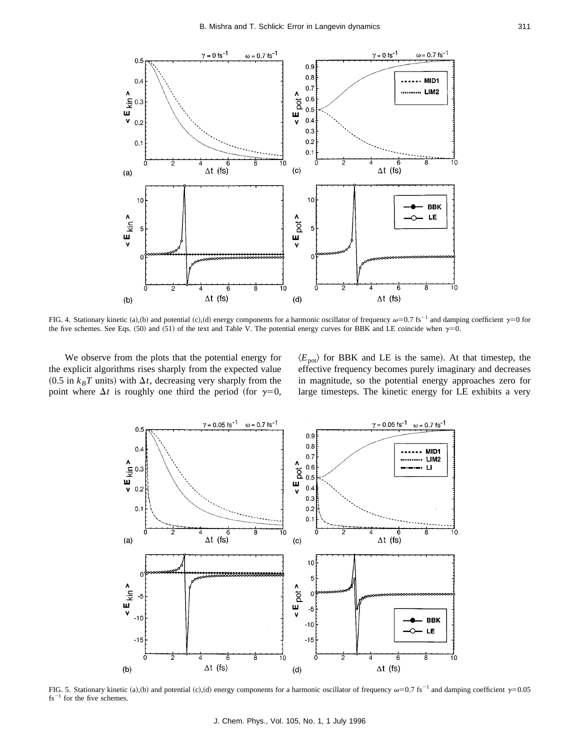

FIG. 4. Stationary kinetic (a),(b) and potential (c),(d) energy components for a harmonic oscillator of frequency  $\omega$ =0.7 fs<sup>-1</sup> and damping coefficient  $\gamma$ =0 for the five schemes. See Eqs.  $(50)$  and  $(51)$  of the text and Table V. The potential energy curves for BBK and LE coincide when  $\gamma=0$ .

We observe from the plots that the potential energy for the explicit algorithms rises sharply from the expected value  $(0.5$  in  $k_BT$  units) with  $\Delta t$ , decreasing very sharply from the point where  $\Delta t$  is roughly one third the period (for  $\gamma=0$ ,  $\langle E_{pot} \rangle$  for BBK and LE is the same). At that timestep, the effective frequency becomes purely imaginary and decreases in magnitude, so the potential energy approaches zero for large timesteps. The kinetic energy for LE exhibits a very



FIG. 5. Stationary kinetic (a),(b) and potential (c),(d) energy components for a harmonic oscillator of frequency  $\omega=0.7$  fs<sup>-1</sup> and damping coefficient  $\gamma=0.05$  $fs^{-1}$  for the five schemes.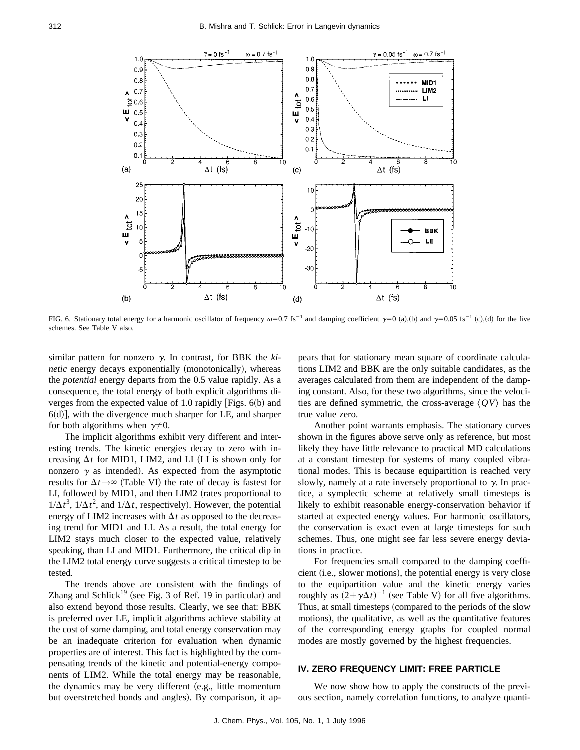

FIG. 6. Stationary total energy for a harmonic oscillator of frequency  $\omega=0.7$  fs<sup>-1</sup> and damping coefficient  $\gamma=0$  (a),(b) and  $\gamma=0.05$  fs<sup>-1</sup> (c),(d) for the five schemes. See Table V also.

similar pattern for nonzero  $\gamma$ . In contrast, for BBK the *kinetic* energy decays exponentially (monotonically), whereas the *potential* energy departs from the 0.5 value rapidly. As a consequence, the total energy of both explicit algorithms diverges from the expected value of 1.0 rapidly [Figs.  $6(b)$  and  $6(d)$ , with the divergence much sharper for LE, and sharper for both algorithms when  $\gamma \neq 0$ .

The implicit algorithms exhibit very different and interesting trends. The kinetic energies decay to zero with increasing  $\Delta t$  for MID1, LIM2, and LI (LI is shown only for nonzero  $\gamma$  as intended). As expected from the asymptotic results for  $\Delta t \rightarrow \infty$  (Table VI) the rate of decay is fastest for LI, followed by MID1, and then LIM2 (rates proportional to  $1/\Delta t^3$ ,  $1/\Delta t^2$ , and  $1/\Delta t$ , respectively). However, the potential energy of LIM2 increases with  $\Delta t$  as opposed to the decreasing trend for MID1 and LI. As a result, the total energy for LIM2 stays much closer to the expected value, relatively speaking, than LI and MID1. Furthermore, the critical dip in the LIM2 total energy curve suggests a critical timestep to be tested.

The trends above are consistent with the findings of Zhang and Schlick<sup>19</sup> (see Fig. 3 of Ref. 19 in particular) and also extend beyond those results. Clearly, we see that: BBK is preferred over LE, implicit algorithms achieve stability at the cost of some damping, and total energy conservation may be an inadequate criterion for evaluation when dynamic properties are of interest. This fact is highlighted by the compensating trends of the kinetic and potential-energy components of LIM2. While the total energy may be reasonable, the dynamics may be very different (e.g., little momentum but overstretched bonds and angles). By comparison, it appears that for stationary mean square of coordinate calculations LIM2 and BBK are the only suitable candidates, as the averages calculated from them are independent of the damping constant. Also, for these two algorithms, since the velocities are defined symmetric, the cross-average  $\langle QV\rangle$  has the true value zero.

Another point warrants emphasis. The stationary curves shown in the figures above serve only as reference, but most likely they have little relevance to practical MD calculations at a constant timestep for systems of many coupled vibrational modes. This is because equipartition is reached very slowly, namely at a rate inversely proportional to  $\gamma$ . In practice, a symplectic scheme at relatively small timesteps is likely to exhibit reasonable energy-conservation behavior if started at expected energy values. For harmonic oscillators, the conservation is exact even at large timesteps for such schemes. Thus, one might see far less severe energy deviations in practice.

For frequencies small compared to the damping coefficient (i.e., slower motions), the potential energy is very close to the equipartition value and the kinetic energy varies roughly as  $(2 + \gamma \Delta t)^{-1}$  (see Table V) for all five algorithms. Thus, at small timesteps (compared to the periods of the slow motions), the qualitative, as well as the quantitative features of the corresponding energy graphs for coupled normal modes are mostly governed by the highest frequencies.

## **IV. ZERO FREQUENCY LIMIT: FREE PARTICLE**

We now show how to apply the constructs of the previous section, namely correlation functions, to analyze quanti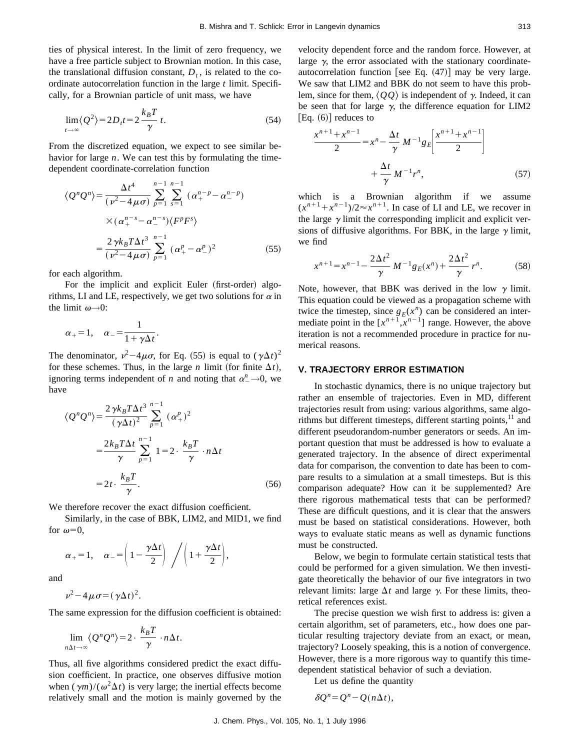ties of physical interest. In the limit of zero frequency, we have a free particle subject to Brownian motion. In this case, the translational diffusion constant,  $D_t$ , is related to the coordinate autocorrelation function in the large *t* limit. Specifically, for a Brownian particle of unit mass, we have

$$
\lim_{t \to \infty} \langle Q^2 \rangle = 2D_t t = 2 \frac{k_B T}{\gamma} t. \tag{54}
$$

From the discretized equation, we expect to see similar behavior for large *n*. We can test this by formulating the timedependent coordinate-correlation function

$$
\langle Q^n Q^n \rangle = \frac{\Delta t^4}{(\nu^2 - 4\mu\sigma)} \sum_{p=1}^{n-1} \sum_{s=1}^{n-1} (\alpha_+^{n-p} - \alpha_-^{n-p})
$$
  
 
$$
\times (\alpha_+^{n-s} - \alpha_-^{n-s}) \langle F^p F^s \rangle
$$
  
= 
$$
\frac{2 \gamma k_B T \Delta t^3}{(\nu^2 - 4\mu\sigma)} \sum_{p=1}^{n-1} (\alpha_+^p - \alpha_-^p)^2
$$
 (55)

for each algorithm.

For the implicit and explicit Euler (first-order) algorithms, LI and LE, respectively, we get two solutions for  $\alpha$  in the limit  $\omega \rightarrow 0$ :

.

$$
\alpha_{+} = 1, \quad \alpha_{-} = \frac{1}{1 + \gamma \Delta t}
$$

The denominator,  $\nu^2 - 4\mu\sigma$ , for Eq. (55) is equal to  $(\gamma \Delta t)^2$ for these schemes. Thus, in the large *n* limit (for finite  $\Delta t$ ), ignoring terms independent of *n* and noting that  $\alpha_-^n \rightarrow 0$ , we have

$$
\langle Q^n Q^n \rangle = \frac{2 \gamma k_B T \Delta t^3}{(\gamma \Delta t)^2} \sum_{p=1}^{n-1} (\alpha_+^p)^2
$$
  
= 
$$
\frac{2 k_B T \Delta t}{\gamma} \sum_{p=1}^{n-1} 1 = 2 \cdot \frac{k_B T}{\gamma} \cdot n \Delta t
$$
  
= 
$$
2t \cdot \frac{k_B T}{\gamma}.
$$
 (56)

We therefore recover the exact diffusion coefficient.

Similarly, in the case of BBK, LIM2, and MID1, we find for  $\omega=0$ ,

$$
\alpha_{+} = 1, \quad \alpha_{-} = \left(1 - \frac{\gamma \Delta t}{2}\right) / \left(1 + \frac{\gamma \Delta t}{2}\right),
$$

and

$$
\nu^2-4\mu\sigma=(\gamma\Delta t)^2.
$$

The same expression for the diffusion coefficient is obtained:

$$
\lim_{n\Delta t\to\infty}\langle Q^n Q^n \rangle = 2 \cdot \frac{k_B T}{\gamma} \cdot n\Delta t.
$$

Thus, all five algorithms considered predict the exact diffusion coefficient. In practice, one observes diffusive motion when  $(\gamma m)/(\omega^2 \Delta t)$  is very large; the inertial effects become relatively small and the motion is mainly governed by the velocity dependent force and the random force. However, at large  $\gamma$ , the error associated with the stationary coordinateautocorrelation function [see Eq.  $(47)$ ] may be very large. We saw that LIM2 and BBK do not seem to have this problem, since for them,  $\langle QQ \rangle$  is independent of  $\gamma$ . Indeed, it can be seen that for large  $\gamma$ , the difference equation for LIM2  $[Eq. (6)]$  reduces to

$$
\frac{x^{n+1} + x^{n-1}}{2} = x^n - \frac{\Delta t}{\gamma} M^{-1} g_E \left[ \frac{x^{n+1} + x^{n-1}}{2} \right] + \frac{\Delta t}{\gamma} M^{-1} r^n,
$$
 (57)

which is a Brownian algorithm if we assume  $(x^{n+1} + x^{n-1})/2 \approx x^{n+1}$ . In case of LI and LE, we recover in the large  $\gamma$  limit the corresponding implicit and explicit versions of diffusive algorithms. For BBK, in the large  $\gamma$  limit, we find

$$
x^{n+1} = x^{n-1} - \frac{2\Delta t^2}{\gamma} M^{-1} g_E(x^n) + \frac{2\Delta t^2}{\gamma} r^n.
$$
 (58)

Note, however, that BBK was derived in the low  $\gamma$  limit. This equation could be viewed as a propagation scheme with twice the timestep, since  $g_E(x^n)$  can be considered an intermediate point in the  $[x^{n+1},x^{n-1}]$  range. However, the above iteration is not a recommended procedure in practice for numerical reasons.

## **V. TRAJECTORY ERROR ESTIMATION**

In stochastic dynamics, there is no unique trajectory but rather an ensemble of trajectories. Even in MD, different trajectories result from using: various algorithms, same algorithms but different timesteps, different starting points, $11$  and different pseudorandom-number generators or seeds. An important question that must be addressed is how to evaluate a generated trajectory. In the absence of direct experimental data for comparison, the convention to date has been to compare results to a simulation at a small timesteps. But is this comparison adequate? How can it be supplemented? Are there rigorous mathematical tests that can be performed? These are difficult questions, and it is clear that the answers must be based on statistical considerations. However, both ways to evaluate static means as well as dynamic functions must be constructed.

Below, we begin to formulate certain statistical tests that could be performed for a given simulation. We then investigate theoretically the behavior of our five integrators in two relevant limits: large  $\Delta t$  and large  $\gamma$ . For these limits, theoretical references exist.

The precise question we wish first to address is: given a certain algorithm, set of parameters, etc., how does one particular resulting trajectory deviate from an exact, or mean, trajectory? Loosely speaking, this is a notion of convergence. However, there is a more rigorous way to quantify this timedependent statistical behavior of such a deviation.

Let us define the quantity

$$
\delta Q^n = Q^n - Q(n\Delta t),
$$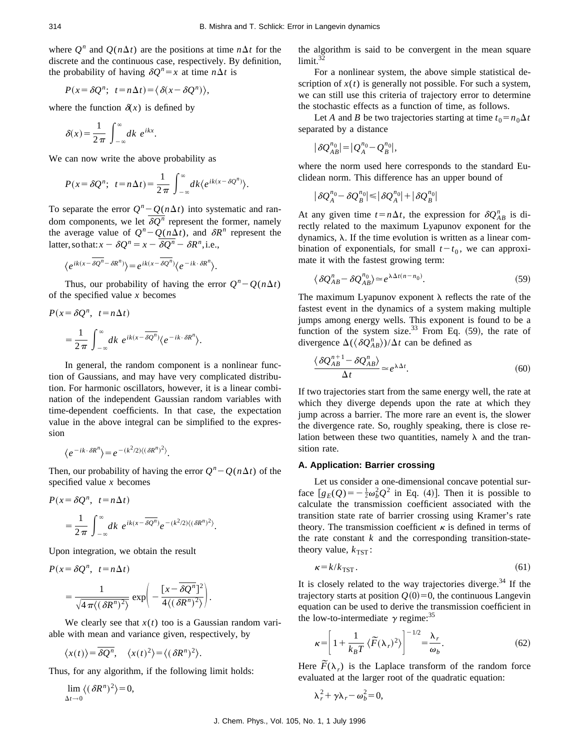where  $O^n$  and  $O(n\Delta t)$  are the positions at time  $n\Delta t$  for the discrete and the continuous case, respectively. By definition, the probability of having  $\delta Q^n = x$  at time  $n \Delta t$  is

$$
P(x = \delta Q^n; t = n\Delta t) = \langle \delta(x - \delta Q^n) \rangle,
$$

where the function  $\delta(x)$  is defined by

 $\delta(x) = \frac{1}{2\pi} \int_{-\infty}^{\infty}$  $\int_{\infty}^{\infty} dk e^{ikx}$ .

We can now write the above probability as

$$
P(x = \delta Q^n; \ t = n\Delta t) = \frac{1}{2\pi} \int_{-\infty}^{\infty} dk \langle e^{ik(x - \delta Q^n)} \rangle.
$$

To separate the error  $Q^n - Q(n\Delta t)$  into systematic and random components, we let  $\delta Q^n$  represent the former, namely the average value of  $Q^n - Q(n\Delta t)$ , and  $\delta R^n$  represent the latter, so that:  $x - \delta Q^n = x - \overline{\delta Q^n} - \delta R^n$ , i.e.,

$$
\langle e^{ik(x-\overline{\delta Q^n}-\delta R^n)}\rangle=e^{ik(x-\overline{\delta Q^n})}\langle e^{-ik\cdot\delta R^n}\rangle.
$$

Thus, our probability of having the error  $Q^n - Q(n\Delta t)$ of the specified value *x* becomes

$$
P(x = \delta Q^n, t = n\Delta t)
$$
  
= 
$$
\frac{1}{2\pi} \int_{-\infty}^{\infty} dk \ e^{ik(x - \overline{\delta Q^n})} \langle e^{-ik \cdot \delta R^n} \rangle.
$$

In general, the random component is a nonlinear function of Gaussians, and may have very complicated distribution. For harmonic oscillators, however, it is a linear combination of the independent Gaussian random variables with time-dependent coefficients. In that case, the expectation value in the above integral can be simplified to the expression

$$
\langle e^{-ik\cdot\delta R^n}\rangle = e^{-(k^2/2)\langle(\delta R^n)^2\rangle}.
$$

Then, our probability of having the error  $Q^n - Q(n\Delta t)$  of the specified value *x* becomes

$$
P(x = \delta Q^n, t = n\Delta t)
$$
  
= 
$$
\frac{1}{2\pi} \int_{-\infty}^{\infty} dk \ e^{ik(x - \overline{\delta Q^n})} e^{-(k^2/2)\langle (\delta R^n)^2 \rangle}.
$$

Upon integration, we obtain the result

$$
P(x = \delta Q^n, t = n\Delta t)
$$
  
= 
$$
\frac{1}{\sqrt{4\pi\langle(\delta R^n)^2\rangle}} \exp\left(-\frac{\left[x - \overline{\delta Q^n}\right]^2}{4\langle(\delta R^n)^2\rangle}\right).
$$

We clearly see that  $x(t)$  too is a Gaussian random variable with mean and variance given, respectively, by

$$
\langle x(t) \rangle = \overline{\delta Q^n}, \quad \langle x(t)^2 \rangle = \langle (\delta R^n)^2 \rangle.
$$

Thus, for any algorithm, if the following limit holds:

$$
\lim_{\Delta t \to 0} \langle (\delta R^n)^2 \rangle = 0,
$$

the algorithm is said to be convergent in the mean square  $limit.<sup>32</sup>$ 

For a nonlinear system, the above simple statistical description of  $x(t)$  is generally not possible. For such a system, we can still use this criteria of trajectory error to determine the stochastic effects as a function of time, as follows.

Let *A* and *B* be two trajectories starting at time  $t_0 = n_0 \Delta t$ separated by a distance

$$
|\,\delta Q_{AB}^{n_0}| = |Q_A^{n_0} - Q_B^{n_0}|,
$$

where the norm used here corresponds to the standard Euclidean norm. This difference has an upper bound of

$$
|\delta Q_A^{n_0}-\delta Q_B^{n_0}|\leqslant |\delta Q_A^{n_0}|+|\delta Q_B^{n_0}|
$$

At any given time  $t=n\Delta t$ , the expression for  $\delta Q_{AB}^n$  is directly related to the maximum Lyapunov exponent for the dynamics,  $\lambda$ . If the time evolution is written as a linear combination of exponentials, for small  $t-t_0$ , we can approximate it with the fastest growing term:

$$
\langle \delta Q_{AB}^n - \delta Q_{AB}^{n_0} \rangle \simeq e^{\lambda \Delta t (n - n_0)}.
$$
 (59)

The maximum Lyapunov exponent  $\lambda$  reflects the rate of the fastest event in the dynamics of a system making multiple jumps among energy wells. This exponent is found to be a function of the system size.<sup>33</sup> From Eq.  $(59)$ , the rate of divergence  $\Delta(\langle \delta Q_{AB}^n \rangle)/\Delta t$  can be defined as

$$
\frac{\langle \delta Q_{AB}^{n+1} - \delta Q_{AB}^{n} \rangle}{\Delta t} \simeq e^{\lambda \Delta t}.
$$
 (60)

If two trajectories start from the same energy well, the rate at which they diverge depends upon the rate at which they jump across a barrier. The more rare an event is, the slower the divergence rate. So, roughly speaking, there is close relation between these two quantities, namely  $\lambda$  and the transition rate.

## **A. Application: Barrier crossing**

Let us consider a one-dimensional concave potential surface  $[g_E(Q) = -\frac{1}{2}\omega_b^2 Q^2$  in Eq. (4)]. Then it is possible to calculate the transmission coefficient associated with the transition state rate of barrier crossing using Kramer's rate theory. The transmission coefficient  $\kappa$  is defined in terms of the rate constant *k* and the corresponding transition-statetheory value,  $k_{\text{TST}}$ :

$$
\kappa = k/k_{\text{TST}}.\tag{61}
$$

It is closely related to the way trajectories diverge. $34$  If the trajectory starts at position  $Q(0)=0$ , the continuous Langevin equation can be used to derive the transmission coefficient in the low-to-intermediate  $\gamma$  regime:<sup>35</sup>

$$
\kappa = \left[1 + \frac{1}{k_B T} \left\langle \widetilde{F}(\lambda_r)^2 \right\rangle \right]^{-1/2} = \frac{\lambda_r}{\omega_b}.
$$
 (62)

Here  $\tilde{F}(\lambda_r)$  is the Laplace transform of the random force evaluated at the larger root of the quadratic equation:

$$
\lambda_r^2 + \gamma \lambda_r - \omega_b^2 = 0,
$$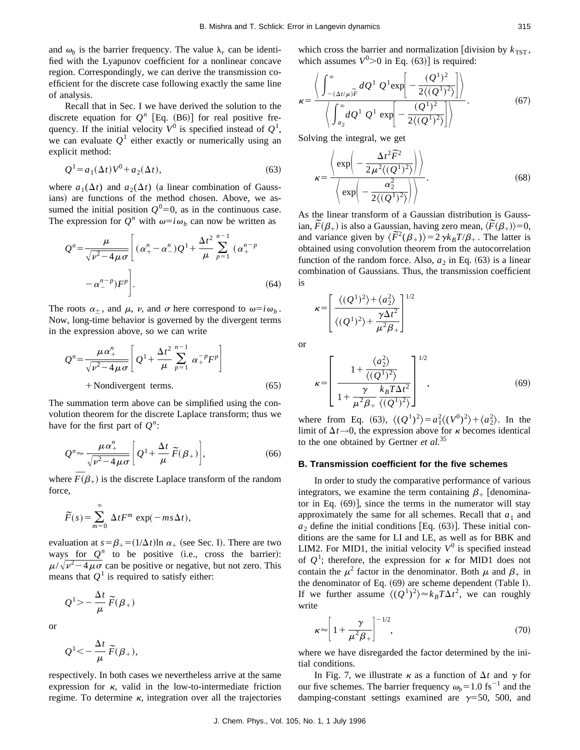and  $\omega_b$  is the barrier frequency. The value  $\lambda_r$  can be identified with the Lyapunov coefficient for a nonlinear concave region. Correspondingly, we can derive the transmission coefficient for the discrete case following exactly the same line of analysis.

Recall that in Sec. I we have derived the solution to the discrete equation for  $Q^n$  [Eq. (B6)] for real positive frequency. If the initial velocity  $V^0$  is specified instead of  $Q^1$ , we can evaluate  $Q^1$  either exactly or numerically using an explicit method:

$$
Q^{1} = a_1(\Delta t)V^0 + a_2(\Delta t),
$$
\n(63)

where  $a_1(\Delta t)$  and  $a_2(\Delta t)$  (a linear combination of Gaussians) are functions of the method chosen. Above, we assumed the initial position  $Q^0$ =0, as in the continuous case. The expression for  $Q^n$  with  $\omega=i\omega_b$  can now be written as

$$
Q^{n} = \frac{\mu}{\sqrt{\nu^{2} - 4\mu\sigma}} \left[ (\alpha_{+}^{n} - \alpha_{-}^{n}) Q^{1} + \frac{\Delta t^{2}}{\mu} \sum_{p=1}^{n-1} (\alpha_{+}^{n-p}) - \alpha_{-}^{n-p}) F^{p} \right].
$$
\n(64)

The roots  $\alpha_+$ , and  $\mu$ ,  $\nu$ , and  $\sigma$  here correspond to  $\omega = i \omega_b$ . Now, long-time behavior is governed by the divergent terms in the expression above, so we can write

$$
Q^{n} = \frac{\mu \alpha_{+}^{n}}{\sqrt{\nu^{2} - 4\mu\sigma}} \left[ Q^{1} + \frac{\Delta t^{2}}{\mu} \sum_{p=1}^{n-1} \alpha_{+}^{-p} F^{p} \right]
$$
  
+ Nondivergent terms. (65)

The summation term above can be simplified using the convolution theorem for the discrete Laplace transform; thus we have for the first part of  $Q^n$ :

$$
Q^{n} \approx \frac{\mu \alpha_{+}^{n}}{\sqrt{\nu^{2} - 4\mu \sigma}} \bigg[ Q^{1} + \frac{\Delta t}{\mu} \widetilde{F}(\beta_{+}) \bigg],
$$
 (66)

where  $\overline{F}(\beta_+)$  is the discrete Laplace transform of the random force,

$$
\widetilde{F}(s) = \sum_{m=0}^{\infty} \Delta t F^m \exp(-ms\Delta t),
$$

evaluation at  $s = \beta_+ = (1/\Delta t) \ln \alpha_+$  (see Sec. I). There are two ways for  $Q^n$  to be positive (i.e., cross the barrier):  $\mu/\sqrt{\nu^2-4\mu\sigma}$  can be positive or negative, but not zero. This means that  $Q<sup>1</sup>$  is required to satisfy either:

$$
Q^1 \rangle - \frac{\Delta t}{\mu} \widetilde{F}(\beta_+)
$$

or

$$
Q^1 \lt -\frac{\Delta t}{\mu}\,\widetilde{F}(\beta_+),
$$

respectively. In both cases we nevertheless arrive at the same expression for  $\kappa$ , valid in the low-to-intermediate friction regime. To determine  $\kappa$ , integration over all the trajectories which cross the barrier and normalization [division by  $k_{\text{TST}}$ , which assumes  $V^0 > 0$  in Eq. (63)] is required:

$$
\kappa = \frac{\left\langle \int_{-(\Delta t/\mu)\widetilde{F}}^{\infty} dQ^1 Q^1 \exp \left[ -\frac{(Q^1)^2}{2\langle (Q^1)^2 \rangle} \right] \right\rangle}{\left\langle \int_{a_2}^{\infty} dQ^1 Q^1 \exp \left[ -\frac{(Q^1)^2}{2\langle (Q^1)^2 \rangle} \right] \right\rangle}.
$$
(67)

Solving the integral, we get

$$
\kappa = \frac{\left\langle \exp\left(-\frac{\Delta t^2 \widetilde{F}^2}{2\mu^2 \langle (Q^1)^2 \rangle}\right) \right\rangle}{\left\langle \exp\left(-\frac{\alpha_2^2}{2\langle (Q^1)^2 \rangle}\right) \right\rangle}.
$$
(68)

As the linear transform of a Gaussian distribution is Gauss-As the linear transform of a Gaussian distribution is Gauss-<br>ian,  $\widetilde{F}(\beta_+)$  is also a Gaussian, having zero mean,  $\langle \widetilde{F}(\beta_+)\rangle = 0$ , and variance given by  $\langle \overline{F}^2(\beta_+) \rangle = 2 \gamma k_B T/\beta_+$ . The latter is and variance given by  $\langle \overline{F}^2(\beta_+) \rangle = 2 \gamma k_B T/\beta_+$ . The latter is obtained using convolution theorem from the autocorrelation function of the random force. Also,  $a_2$  in Eq.  $(63)$  is a linear combination of Gaussians. Thus, the transmission coefficient is

$$
\kappa = \left[ \frac{\langle (Q^1)^2 \rangle + \langle a_2^2 \rangle}{\langle (Q^1)^2 \rangle + \frac{\gamma \Delta t^2}{\mu^2 \beta_+}} \right]^{1/2}
$$

or

$$
\kappa = \left[ \frac{1 + \frac{\langle a_2^2 \rangle}{\langle (Q^1)^2 \rangle}}{1 + \frac{\gamma}{\mu^2 \beta_+} \frac{k_B T \Delta t^2}{\langle (Q^1)^2 \rangle}} \right]^{1/2},
$$
(69)

where from Eq. (63),  $\langle (Q^1)^2 \rangle = a_1^2 \langle (V^0)^2 \rangle + \langle a_2^2 \rangle$ . In the limit of  $\Delta t \rightarrow 0$ , the expression above for  $\kappa$  becomes identical to the one obtained by Gertner *et al.*<sup>35</sup>

#### **B. Transmission coefficient for the five schemes**

In order to study the comparative performance of various integrators, we examine the term containing  $\beta_+$  [denominator in Eq.  $(69)$ , since the terms in the numerator will stay approximately the same for all schemes. Recall that  $a_1$  and  $a_2$  define the initial conditions [Eq.  $(63)$ ]. These initial conditions are the same for LI and LE, as well as for BBK and LIM2. For MID1, the initial velocity  $V^0$  is specified instead of  $Q^1$ ; therefore, the expression for  $\kappa$  for MID1 does not contain the  $\mu^2$  factor in the denominator. Both  $\mu$  and  $\beta_+$  in the denominator of Eq.  $(69)$  are scheme dependent (Table I). If we further assume  $\langle (Q^1)^2 \rangle \approx k_B T \Delta t^2$ , we can roughly write

$$
\kappa \approx \left[1 + \frac{\gamma}{\mu^2 \beta_+}\right]^{-1/2},\tag{70}
$$

where we have disregarded the factor determined by the initial conditions.

In Fig. 7, we illustrate  $\kappa$  as a function of  $\Delta t$  and  $\gamma$  for our five schemes. The barrier frequency  $\omega_b = 1.0$  fs<sup>-1</sup> and the damping-constant settings examined are  $\gamma$ =50, 500, and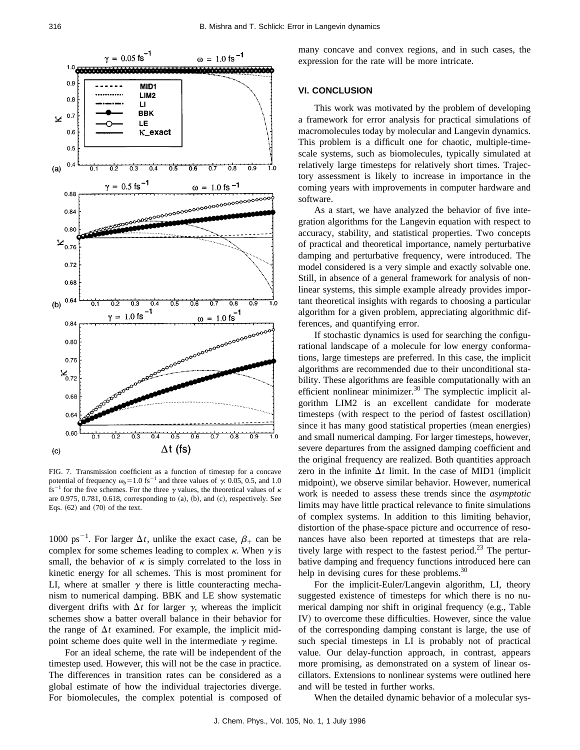

FIG. 7. Transmission coefficient as a function of timestep for a concave potential of frequency  $\omega_b = 1.0 \text{ fs}^{-1}$  and three values of  $\gamma$ : 0.05, 0.5, and 1.0 fs<sup>-1</sup> for the five schemes. For the three  $\gamma$  values, the theoretical values of  $\kappa$ are 0.975, 0.781, 0.618, corresponding to  $(a)$ ,  $(b)$ , and  $(c)$ , respectively. See Eqs.  $(62)$  and  $(70)$  of the text.

1000 ps<sup>-1</sup>. For larger  $\Delta t$ , unlike the exact case,  $\beta_+$  can be complex for some schemes leading to complex  $\kappa$ . When  $\gamma$  is small, the behavior of  $\kappa$  is simply correlated to the loss in kinetic energy for all schemes. This is most prominent for LI, where at smaller  $\gamma$  there is little counteracting mechanism to numerical damping. BBK and LE show systematic divergent drifts with  $\Delta t$  for larger  $\gamma$ , whereas the implicit schemes show a batter overall balance in their behavior for the range of  $\Delta t$  examined. For example, the implicit midpoint scheme does quite well in the intermediate  $\gamma$  regime.

For an ideal scheme, the rate will be independent of the timestep used. However, this will not be the case in practice. The differences in transition rates can be considered as a global estimate of how the individual trajectories diverge. For biomolecules, the complex potential is composed of many concave and convex regions, and in such cases, the expression for the rate will be more intricate.

## **VI. CONCLUSION**

This work was motivated by the problem of developing a framework for error analysis for practical simulations of macromolecules today by molecular and Langevin dynamics. This problem is a difficult one for chaotic, multiple-timescale systems, such as biomolecules, typically simulated at relatively large timesteps for relatively short times. Trajectory assessment is likely to increase in importance in the coming years with improvements in computer hardware and software.

As a start, we have analyzed the behavior of five integration algorithms for the Langevin equation with respect to accuracy, stability, and statistical properties. Two concepts of practical and theoretical importance, namely perturbative damping and perturbative frequency, were introduced. The model considered is a very simple and exactly solvable one. Still, in absence of a general framework for analysis of nonlinear systems, this simple example already provides important theoretical insights with regards to choosing a particular algorithm for a given problem, appreciating algorithmic differences, and quantifying error.

If stochastic dynamics is used for searching the configurational landscape of a molecule for low energy conformations, large timesteps are preferred. In this case, the implicit algorithms are recommended due to their unconditional stability. These algorithms are feasible computationally with an efficient nonlinear minimizer. $30$  The symplectic implicit algorithm LIM2 is an excellent candidate for moderate timesteps (with respect to the period of fastest oscillation) since it has many good statistical properties (mean energies) and small numerical damping. For larger timesteps, however, severe departures from the assigned damping coefficient and the original frequency are realized. Both quantities approach zero in the infinite  $\Delta t$  limit. In the case of MID1 (implicit midpoint), we observe similar behavior. However, numerical work is needed to assess these trends since the *asymptotic* limits may have little practical relevance to finite simulations of complex systems. In addition to this limiting behavior, distortion of the phase-space picture and occurrence of resonances have also been reported at timesteps that are relatively large with respect to the fastest period.<sup>23</sup> The perturbative damping and frequency functions introduced here can help in devising cures for these problems.<sup>30</sup>

For the implicit-Euler/Langevin algorithm, LI, theory suggested existence of timesteps for which there is no numerical damping nor shift in original frequency (e.g., Table IV) to overcome these difficulties. However, since the value of the corresponding damping constant is large, the use of such special timesteps in LI is probably not of practical value. Our delay-function approach, in contrast, appears more promising, as demonstrated on a system of linear oscillators. Extensions to nonlinear systems were outlined here and will be tested in further works.

When the detailed dynamic behavior of a molecular sys-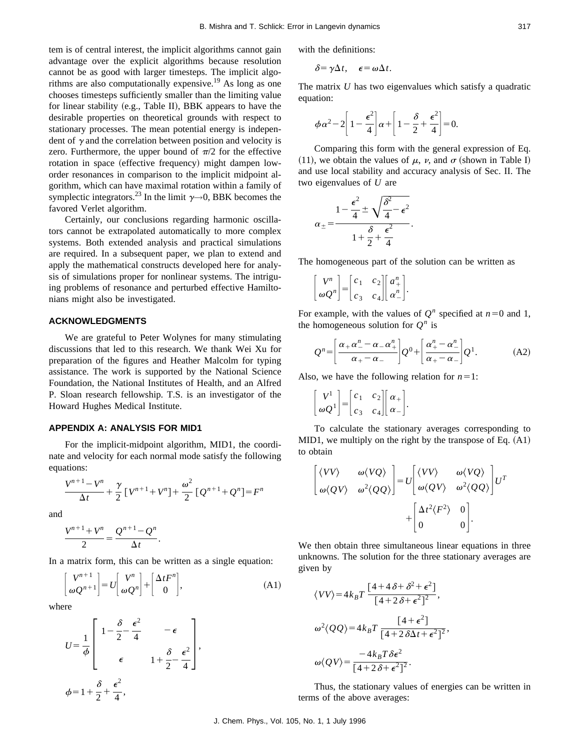tem is of central interest, the implicit algorithms cannot gain advantage over the explicit algorithms because resolution cannot be as good with larger timesteps. The implicit algorithms are also computationally expensive.19 As long as one chooses timesteps sufficiently smaller than the limiting value for linear stability (e.g., Table II), BBK appears to have the desirable properties on theoretical grounds with respect to stationary processes. The mean potential energy is independent of  $\gamma$  and the correlation between position and velocity is zero. Furthermore, the upper bound of  $\pi/2$  for the effective rotation in space (effective frequency) might dampen loworder resonances in comparison to the implicit midpoint algorithm, which can have maximal rotation within a family of symplectic integrators.<sup>23</sup> In the limit  $\gamma \rightarrow 0$ , BBK becomes the favored Verlet algorithm.

Certainly, our conclusions regarding harmonic oscillators cannot be extrapolated automatically to more complex systems. Both extended analysis and practical simulations are required. In a subsequent paper, we plan to extend and apply the mathematical constructs developed here for analysis of simulations proper for nonlinear systems. The intriguing problems of resonance and perturbed effective Hamiltonians might also be investigated.

## **ACKNOWLEDGMENTS**

We are grateful to Peter Wolynes for many stimulating discussions that led to this research. We thank Wei Xu for preparation of the figures and Heather Malcolm for typing assistance. The work is supported by the National Science Foundation, the National Institutes of Health, and an Alfred P. Sloan research fellowship. T.S. is an investigator of the Howard Hughes Medical Institute.

## **APPENDIX A: ANALYSIS FOR MID1**

For the implicit-midpoint algorithm, MID1, the coordinate and velocity for each normal mode satisfy the following equations:

$$
\frac{V^{n+1} - V^n}{\Delta t} + \frac{\gamma}{2} \left[ V^{n+1} + V^n \right] + \frac{\omega^2}{2} \left[ Q^{n+1} + Q^n \right] = F^n
$$

and

$$
\frac{V^{n+1} + V^n}{2} = \frac{Q^{n+1} - Q^n}{\Delta t}.
$$

In a matrix form, this can be written as a single equation:

$$
\begin{bmatrix} V^{n+1} \\ \omega Q^{n+1} \end{bmatrix} = U \begin{bmatrix} V^n \\ \omega Q^n \end{bmatrix} + \begin{bmatrix} \Delta t F^n \\ 0 \end{bmatrix},
$$
 (A1)

where

$$
U = \frac{1}{\phi} \begin{bmatrix} 1 - \frac{\delta}{2} - \frac{\epsilon^2}{4} & -\epsilon \\ \epsilon & 1 + \frac{\delta}{2} - \frac{\epsilon^2}{4} \end{bmatrix},
$$
  

$$
\phi = 1 + \frac{\delta}{2} + \frac{\epsilon^2}{4},
$$

with the definitions:

$$
\delta = \gamma \Delta t, \quad \epsilon = \omega \Delta t.
$$

The matrix *U* has two eigenvalues which satisfy a quadratic equation:

$$
\phi \alpha^2 - 2 \left[ 1 - \frac{\epsilon^2}{4} \right] \alpha + \left[ 1 - \frac{\delta}{2} + \frac{\epsilon^2}{4} \right] = 0.
$$

Comparing this form with the general expression of Eq. (11), we obtain the values of  $\mu$ ,  $\nu$ , and  $\sigma$  (shown in Table I) and use local stability and accuracy analysis of Sec. II. The two eigenvalues of *U* are

$$
\alpha_{\pm} = \frac{1 - \frac{\epsilon^2}{4} \pm \sqrt{\frac{\delta^2}{4} - \epsilon^2}}{1 + \frac{\delta}{2} + \frac{\epsilon^2}{4}}.
$$

The homogeneous part of the solution can be written as

$$
\begin{bmatrix} V^n \\ \omega Q^n \end{bmatrix} = \begin{bmatrix} c_1 & c_2 \\ c_3 & c_4 \end{bmatrix} \begin{bmatrix} a_+^n \\ \alpha_-^n \end{bmatrix}.
$$

For example, with the values of  $Q^n$  specified at  $n=0$  and 1, the homogeneous solution for  $Q^n$  is

$$
Q^{n} = \left[\frac{\alpha_{+}\alpha_{-}^{n} - \alpha_{-}\alpha_{+}^{n}}{\alpha_{+} - \alpha_{-}}\right]Q^{0} + \left[\frac{\alpha_{+}^{n} - \alpha_{-}^{n}}{\alpha_{+} - \alpha_{-}}\right]Q^{1}.
$$
 (A2)

Also, we have the following relation for  $n=1$ :

$$
\begin{bmatrix} V^1 \\ \omega Q^1 \end{bmatrix} = \begin{bmatrix} c_1 & c_2 \\ c_3 & c_4 \end{bmatrix} \begin{bmatrix} \alpha_+ \\ \alpha_- \end{bmatrix}.
$$

To calculate the stationary averages corresponding to MID1, we multiply on the right by the transpose of Eq.  $(A1)$ to obtain

$$
\begin{bmatrix}\n\langle VV\rangle & \omega \langle VQ\rangle \\
\omega \langle QV\rangle & \omega^2 \langle QQ\rangle\n\end{bmatrix} = U \begin{bmatrix}\n\langle VV\rangle & \omega \langle VQ\rangle \\
\omega \langle QV\rangle & \omega^2 \langle QQ\rangle\n\end{bmatrix} U^T\n+ \begin{bmatrix}\n\Delta t^2 \langle F^2\rangle & 0 \\
0 & 0\n\end{bmatrix}.
$$

We then obtain three simultaneous linear equations in three unknowns. The solution for the three stationary averages are given by

$$
\langle VV \rangle = 4k_B T \frac{[4 + 4 \delta + \delta^2 + \epsilon^2]}{[4 + 2 \delta + \epsilon^2]^2},
$$
  

$$
\omega^2 \langle QQ \rangle = 4k_B T \frac{[4 + \epsilon^2]}{[4 + 2 \delta \Delta t + \epsilon^2]^2},
$$
  

$$
\omega \langle QV \rangle = \frac{-4k_B T \delta \epsilon^2}{[4 + 2 \delta + \epsilon^2]^2}.
$$

Thus, the stationary values of energies can be written in terms of the above averages:

J. Chem. Phys., Vol. 105, No. 1, 1 July 1996